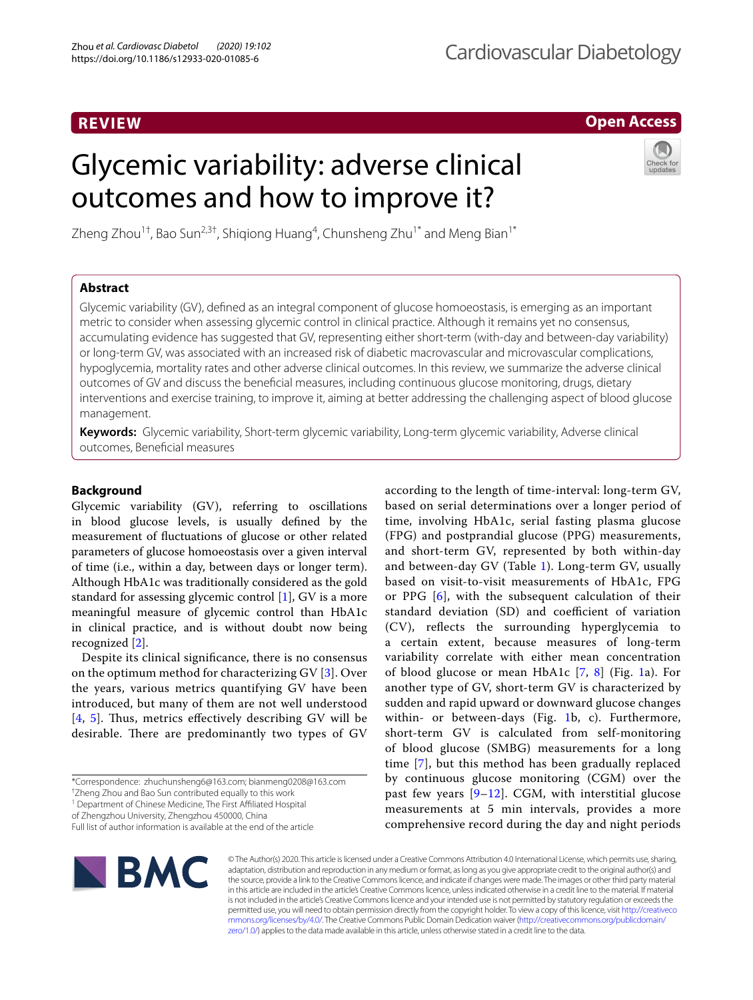## **REVIEW**

# Cardiovascular Diabetology

according to the length of time-interval: long-term GV, based on serial determinations over a longer period of time, involving HbA1c, serial fasting plasma glucose (FPG) and postprandial glucose (PPG) measurements, and short-term GV, represented by both within-day and between-day GV (Table [1\)](#page-1-0). Long-term GV, usually based on visit-to-visit measurements of HbA1c, FPG or PPG [\[6](#page-9-5)], with the subsequent calculation of their standard deviation (SD) and coefficient of variation (CV), refects the surrounding hyperglycemia to a certain extent, because measures of long-term variability correlate with either mean concentration of blood glucose or mean HbA[1](#page-1-1)c  $[7, 8]$  $[7, 8]$  $[7, 8]$  $[7, 8]$  (Fig. 1a). For another type of GV, short-term GV is characterized by sudden and rapid upward or downward glucose changes within- or between-days (Fig. [1b](#page-1-1), c). Furthermore, short-term GV is calculated from self-monitoring of blood glucose (SMBG) measurements for a long time [[7\]](#page-9-6), but this method has been gradually replaced by continuous glucose monitoring (CGM) over the past few years [[9–](#page-9-8)[12](#page-9-9)]. CGM, with interstitial glucose measurements at 5 min intervals, provides a more comprehensive record during the day and night periods

## **Open Access**

# Glycemic variability: adverse clinical outcomes and how to improve it?



Zheng Zhou $^{1\dagger}$ , Bao Sun $^{2,3\dagger}$ , Shiqiong Huang $^4$ , Chunsheng Zhu $^{1*}$  and Meng Bian $^{1*}$ 

## **Abstract**

Glycemic variability (GV), defned as an integral component of glucose homoeostasis, is emerging as an important metric to consider when assessing glycemic control in clinical practice. Although it remains yet no consensus, accumulating evidence has suggested that GV, representing either short-term (with-day and between-day variability) or long-term GV, was associated with an increased risk of diabetic macrovascular and microvascular complications, hypoglycemia, mortality rates and other adverse clinical outcomes. In this review, we summarize the adverse clinical outcomes of GV and discuss the benefcial measures, including continuous glucose monitoring, drugs, dietary interventions and exercise training, to improve it, aiming at better addressing the challenging aspect of blood glucose management.

**Keywords:** Glycemic variability, Short-term glycemic variability, Long-term glycemic variability, Adverse clinical outcomes, Benefcial measures

## **Background**

Glycemic variability (GV), referring to oscillations in blood glucose levels, is usually defned by the measurement of fuctuations of glucose or other related parameters of glucose homoeostasis over a given interval of time (i.e., within a day, between days or longer term). Although HbA1c was traditionally considered as the gold standard for assessing glycemic control [\[1\]](#page-9-0), GV is a more meaningful measure of glycemic control than HbA1c in clinical practice, and is without doubt now being recognized [\[2](#page-9-1)].

Despite its clinical signifcance, there is no consensus on the optimum method for characterizing GV [[3\]](#page-9-2). Over the years, various metrics quantifying GV have been introduced, but many of them are not well understood  $[4, 5]$  $[4, 5]$  $[4, 5]$  $[4, 5]$  $[4, 5]$ . Thus, metrics effectively describing GV will be desirable. There are predominantly two types of GV

<sup>1</sup> Department of Chinese Medicine, The First Affiliated Hospital

of Zhengzhou University, Zhengzhou 450000, China

Full list of author information is available at the end of the article



© The Author(s) 2020. This article is licensed under a Creative Commons Attribution 4.0 International License, which permits use, sharing, adaptation, distribution and reproduction in any medium or format, as long as you give appropriate credit to the original author(s) and the source, provide a link to the Creative Commons licence, and indicate if changes were made. The images or other third party material in this article are included in the article's Creative Commons licence, unless indicated otherwise in a credit line to the material. If material is not included in the article's Creative Commons licence and your intended use is not permitted by statutory regulation or exceeds the permitted use, you will need to obtain permission directly from the copyright holder. To view a copy of this licence, visit [http://creativeco](http://creativecommons.org/licenses/by/4.0/) [mmons.org/licenses/by/4.0/.](http://creativecommons.org/licenses/by/4.0/) The Creative Commons Public Domain Dedication waiver ([http://creativecommons.org/publicdomain/](http://creativecommons.org/publicdomain/zero/1.0/) [zero/1.0/\)](http://creativecommons.org/publicdomain/zero/1.0/) applies to the data made available in this article, unless otherwise stated in a credit line to the data.

<sup>\*</sup>Correspondence: zhuchunsheng6@163.com; bianmeng0208@163.com

<sup>†</sup> Zheng Zhou and Bao Sun contributed equally to this work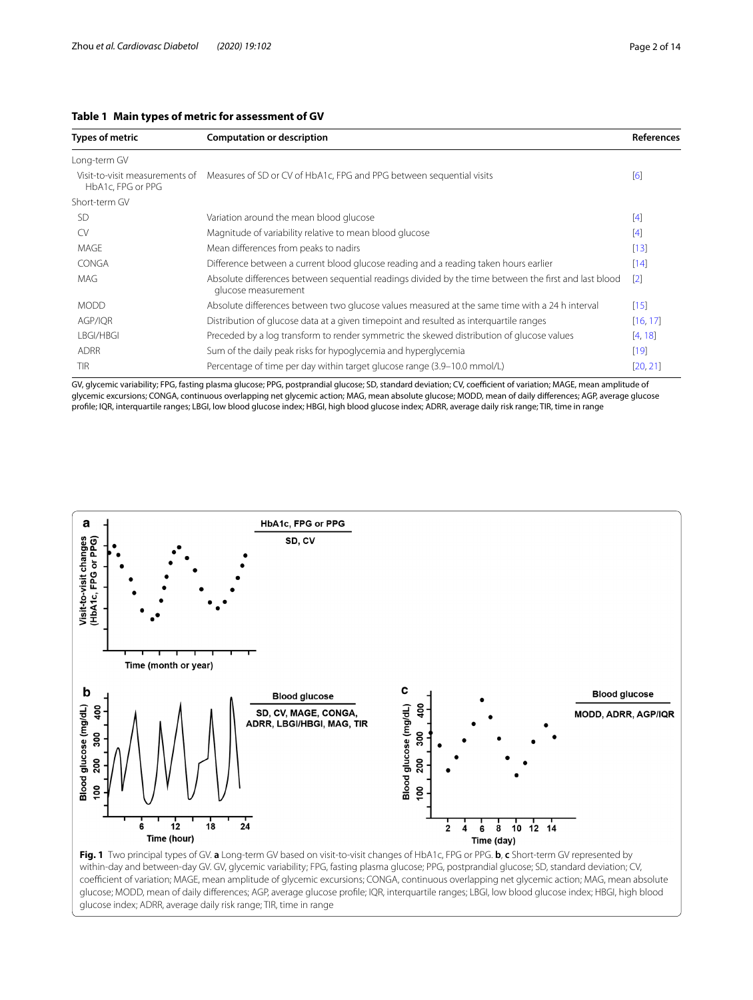#### <span id="page-1-0"></span>**Table 1 Main types of metric for assessment of GV**

| Types of metric                                     | <b>Computation or description</b>                                                                                            | <b>References</b> |
|-----------------------------------------------------|------------------------------------------------------------------------------------------------------------------------------|-------------------|
| Long-term GV                                        |                                                                                                                              |                   |
| Visit-to-visit measurements of<br>HbA1c, FPG or PPG | Measures of SD or CV of HbA1c, FPG and PPG between sequential visits                                                         | [6]               |
| Short-term GV                                       |                                                                                                                              |                   |
| <b>SD</b>                                           | Variation around the mean blood glucose                                                                                      | $\lceil 4 \rceil$ |
| CV.                                                 | Magnitude of variability relative to mean blood glucose                                                                      | [4]               |
| MAGE                                                | Mean differences from peaks to nadirs                                                                                        | $[13]$            |
| <b>CONGA</b>                                        | Difference between a current blood glucose reading and a reading taken hours earlier                                         | [14]              |
| <b>MAG</b>                                          | Absolute differences between sequential readings divided by the time between the first and last blood<br>glucose measurement | $\lceil 2 \rceil$ |
| <b>MODD</b>                                         | Absolute differences between two glucose values measured at the same time with a 24 h interval                               | $[15]$            |
| AGP/IQR                                             | Distribution of glucose data at a given timepoint and resulted as interguartile ranges                                       | [16, 17]          |
| LBGI/HBGI                                           | Preceded by a log transform to render symmetric the skewed distribution of glucose values                                    | [4, 18]           |
| <b>ADRR</b>                                         | Sum of the daily peak risks for hypoglycemia and hyperglycemia                                                               | $[19]$            |
| <b>TIR</b>                                          | Percentage of time per day within target glucose range (3.9–10.0 mmol/L)                                                     | [20, 21]          |

GV, glycemic variability; FPG, fasting plasma glucose; PPG, postprandial glucose; SD, standard deviation; CV, coefficient of variation; MAGE, mean amplitude of glycemic excursions; CONGA, continuous overlapping net glycemic action; MAG, mean absolute glucose; MODD, mean of daily diferences; AGP, average glucose profle; IQR, interquartile ranges; LBGI, low blood glucose index; HBGI, high blood glucose index; ADRR, average daily risk range; TIR, time in range



<span id="page-1-1"></span>within-day and between-day GV. GV, glycemic variability; FPG, fasting plasma glucose; PPG, postprandial glucose; SD, standard deviation; CV, coefficient of variation; MAGE, mean amplitude of glycemic excursions; CONGA, continuous overlapping net glycemic action; MAG, mean absolute glucose; MODD, mean of daily diferences; AGP, average glucose profle; IQR, interquartile ranges; LBGI, low blood glucose index; HBGI, high blood glucose index; ADRR, average daily risk range; TIR, time in range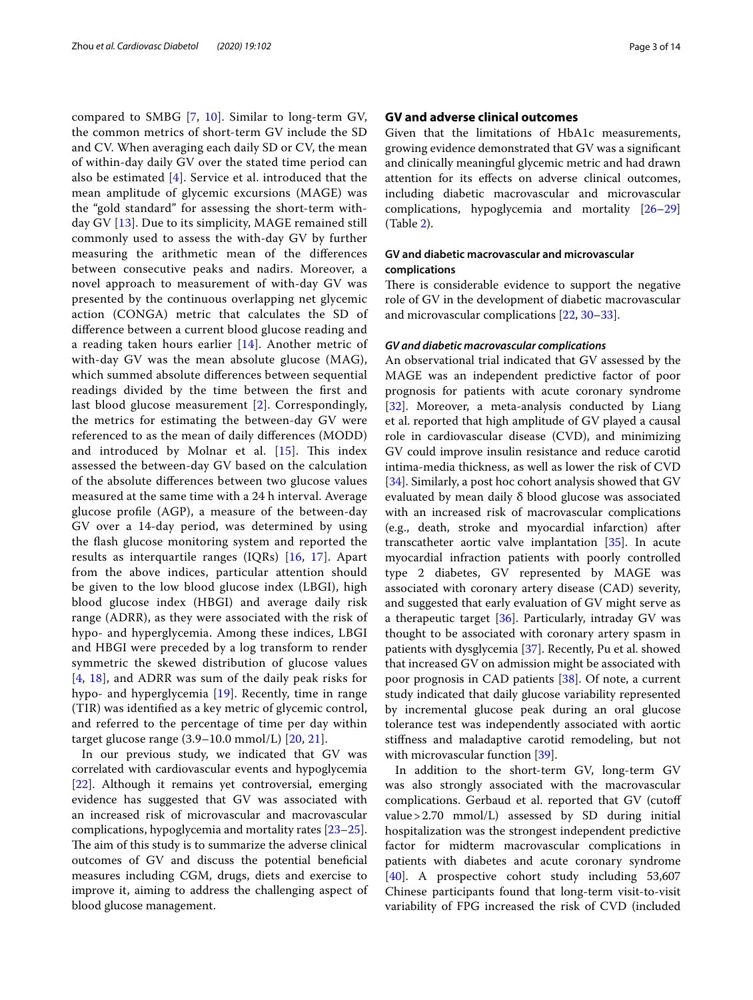compared to SMBG [[7,](#page-9-6) [10](#page-9-19)]. Similar to long-term GV, the common metrics of short-term GV include the SD and CV. When averaging each daily SD or CV, the mean of within-day daily GV over the stated time period can also be estimated [[4\]](#page-9-3). Service et al. introduced that the mean amplitude of glycemic excursions (MAGE) was the "gold standard" for assessing the short-term withday GV [[13\]](#page-9-10). Due to its simplicity, MAGE remained still commonly used to assess the with-day GV by further measuring the arithmetic mean of the diferences between consecutive peaks and nadirs. Moreover, a novel approach to measurement of with-day GV was presented by the continuous overlapping net glycemic action (CONGA) metric that calculates the SD of diference between a current blood glucose reading and a reading taken hours earlier [\[14](#page-9-11)]. Another metric of with-day GV was the mean absolute glucose (MAG), which summed absolute diferences between sequential readings divided by the time between the frst and last blood glucose measurement [\[2](#page-9-1)]. Correspondingly, the metrics for estimating the between-day GV were referenced to as the mean of daily diferences (MODD) and introduced by Molnar et al.  $[15]$  $[15]$ . This index assessed the between-day GV based on the calculation of the absolute diferences between two glucose values measured at the same time with a 24 h interval. Average glucose profle (AGP), a measure of the between-day GV over a 14-day period, was determined by using the fash glucose monitoring system and reported the results as interquartile ranges (IQRs) [[16,](#page-9-13) [17](#page-9-14)]. Apart from the above indices, particular attention should be given to the low blood glucose index (LBGI), high blood glucose index (HBGI) and average daily risk range (ADRR), as they were associated with the risk of hypo- and hyperglycemia. Among these indices, LBGI and HBGI were preceded by a log transform to render symmetric the skewed distribution of glucose values [[4](#page-9-3), [18\]](#page-9-15), and ADRR was sum of the daily peak risks for hypo- and hyperglycemia [[19](#page-9-16)]. Recently, time in range (TIR) was identifed as a key metric of glycemic control, and referred to the percentage of time per day within target glucose range (3.9–10.0 mmol/L) [[20,](#page-9-17) [21\]](#page-9-18).

In our previous study, we indicated that GV was correlated with cardiovascular events and hypoglycemia [[22\]](#page-9-20). Although it remains yet controversial, emerging evidence has suggested that GV was associated with an increased risk of microvascular and macrovascular complications, hypoglycemia and mortality rates [[23](#page-10-0)[–25](#page-10-1)]. The aim of this study is to summarize the adverse clinical outcomes of GV and discuss the potential beneficial measures including CGM, drugs, diets and exercise to improve it, aiming to address the challenging aspect of blood glucose management.

#### **GV and adverse clinical outcomes**

Given that the limitations of HbA1c measurements, growing evidence demonstrated that GV was a signifcant and clinically meaningful glycemic metric and had drawn attention for its efects on adverse clinical outcomes, including diabetic macrovascular and microvascular complications, hypoglycemia and mortality [[26–](#page-10-2)[29](#page-10-3)] (Table [2\)](#page-3-0).

## **GV and diabetic macrovascular and microvascular complications**

There is considerable evidence to support the negative role of GV in the development of diabetic macrovascular and microvascular complications [\[22](#page-9-20), [30](#page-10-4)[–33](#page-10-5)].

#### *GV and diabetic macrovascular complications*

An observational trial indicated that GV assessed by the MAGE was an independent predictive factor of poor prognosis for patients with acute coronary syndrome [[32\]](#page-10-6). Moreover, a meta-analysis conducted by Liang et al. reported that high amplitude of GV played a causal role in cardiovascular disease (CVD), and minimizing GV could improve insulin resistance and reduce carotid intima-media thickness, as well as lower the risk of CVD [[34\]](#page-10-7). Similarly, a post hoc cohort analysis showed that GV evaluated by mean daily δ blood glucose was associated with an increased risk of macrovascular complications (e.g., death, stroke and myocardial infarction) after transcatheter aortic valve implantation [\[35](#page-10-8)]. In acute myocardial infraction patients with poorly controlled type 2 diabetes, GV represented by MAGE was associated with coronary artery disease (CAD) severity, and suggested that early evaluation of GV might serve as a therapeutic target [[36\]](#page-10-9). Particularly, intraday GV was thought to be associated with coronary artery spasm in patients with dysglycemia [[37](#page-10-10)]. Recently, Pu et al. showed that increased GV on admission might be associated with poor prognosis in CAD patients [[38\]](#page-10-11). Of note, a current study indicated that daily glucose variability represented by incremental glucose peak during an oral glucose tolerance test was independently associated with aortic stifness and maladaptive carotid remodeling, but not with microvascular function [[39\]](#page-10-12).

In addition to the short-term GV, long-term GV was also strongly associated with the macrovascular complications. Gerbaud et al. reported that GV (cutof value>2.70 mmol/L) assessed by SD during initial hospitalization was the strongest independent predictive factor for midterm macrovascular complications in patients with diabetes and acute coronary syndrome [[40\]](#page-10-13). A prospective cohort study including 53,607 Chinese participants found that long-term visit-to-visit variability of FPG increased the risk of CVD (included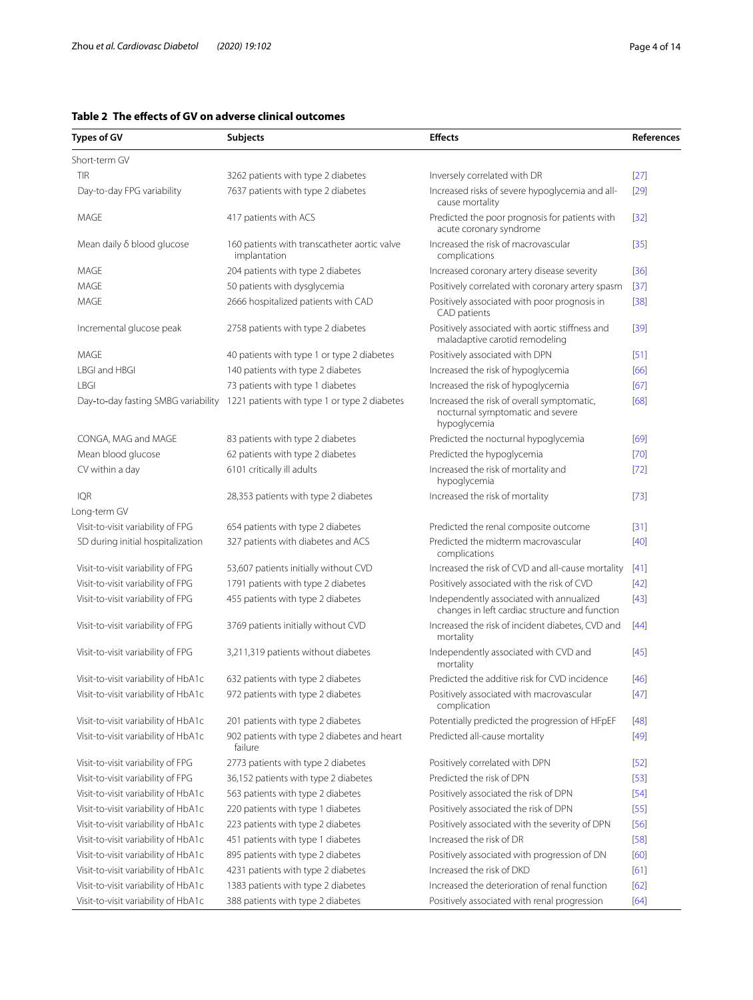## <span id="page-3-0"></span>**Table 2 The efects of GV on adverse clinical outcomes**

| Types of GV                         | Subjects                                                     | <b>Effects</b>                                                                                 | <b>References</b> |
|-------------------------------------|--------------------------------------------------------------|------------------------------------------------------------------------------------------------|-------------------|
| Short-term GV                       |                                                              |                                                                                                |                   |
| <b>TIR</b>                          | 3262 patients with type 2 diabetes                           | Inversely correlated with DR                                                                   | $[27]$            |
| Day-to-day FPG variability          | 7637 patients with type 2 diabetes                           | Increased risks of severe hypoglycemia and all-<br>cause mortality                             | [29]              |
| MAGE                                | 417 patients with ACS                                        | Predicted the poor prognosis for patients with<br>acute coronary syndrome                      | $[32]$            |
| Mean daily δ blood glucose          | 160 patients with transcatheter aortic valve<br>implantation | Increased the risk of macrovascular<br>complications                                           | $[35]$            |
| MAGE                                | 204 patients with type 2 diabetes                            | Increased coronary artery disease severity                                                     | [36]              |
| <b>MAGE</b>                         | 50 patients with dysglycemia                                 | Positively correlated with coronary artery spasm                                               | $[37]$            |
| MAGE                                | 2666 hospitalized patients with CAD                          | Positively associated with poor prognosis in<br>CAD patients                                   | $[38]$            |
| Incremental glucose peak            | 2758 patients with type 2 diabetes                           | Positively associated with aortic stiffness and<br>maladaptive carotid remodeling              | $[39]$            |
| <b>MAGE</b>                         | 40 patients with type 1 or type 2 diabetes                   | Positively associated with DPN                                                                 | [51]              |
| LBGI and HBGI                       | 140 patients with type 2 diabetes                            | Increased the risk of hypoglycemia                                                             | [66]              |
| <b>LBGI</b>                         | 73 patients with type 1 diabetes                             | Increased the risk of hypoglycemia                                                             | $[67]$            |
| Day-to-day fasting SMBG variability | 1221 patients with type 1 or type 2 diabetes                 | Increased the risk of overall symptomatic,<br>nocturnal symptomatic and severe<br>hypoglycemia | [68]              |
| CONGA, MAG and MAGE                 | 83 patients with type 2 diabetes                             | Predicted the nocturnal hypoglycemia                                                           | [69]              |
| Mean blood glucose                  | 62 patients with type 2 diabetes                             | Predicted the hypoglycemia                                                                     | $[70]$            |
| CV within a day                     | 6101 critically ill adults                                   | Increased the risk of mortality and<br>hypoglycemia                                            | $[72]$            |
| IQR                                 | 28,353 patients with type 2 diabetes                         | Increased the risk of mortality                                                                | $[73]$            |
| Long-term GV                        |                                                              |                                                                                                |                   |
| Visit-to-visit variability of FPG   | 654 patients with type 2 diabetes                            | Predicted the renal composite outcome                                                          | $[31]$            |
| SD during initial hospitalization   | 327 patients with diabetes and ACS                           | Predicted the midterm macrovascular<br>complications                                           | $[40]$            |
| Visit-to-visit variability of FPG   | 53,607 patients initially without CVD                        | Increased the risk of CVD and all-cause mortality                                              | $[41]$            |
| Visit-to-visit variability of FPG   | 1791 patients with type 2 diabetes                           | Positively associated with the risk of CVD                                                     | $[42]$            |
| Visit-to-visit variability of FPG   | 455 patients with type 2 diabetes                            | Independently associated with annualized<br>changes in left cardiac structure and function     | $[43]$            |
| Visit-to-visit variability of FPG   | 3769 patients initially without CVD                          | Increased the risk of incident diabetes, CVD and<br>mortality                                  | $[44]$            |
| Visit-to-visit variability of FPG   | 3,211,319 patients without diabetes                          | Independently associated with CVD and<br>mortality                                             | [45]              |
| Visit-to-visit variability of HbA1c | 632 patients with type 2 diabetes                            | Predicted the additive risk for CVD incidence                                                  | $[46]$            |
| Visit-to-visit variability of HbA1c | 972 patients with type 2 diabetes                            | Positively associated with macrovascular<br>complication                                       | $[47]$            |
| Visit-to-visit variability of HbA1c | 201 patients with type 2 diabetes                            | Potentially predicted the progression of HFpEF                                                 | $[48]$            |
| Visit-to-visit variability of HbA1c | 902 patients with type 2 diabetes and heart<br>failure       | Predicted all-cause mortality                                                                  | $[49]$            |
| Visit-to-visit variability of FPG   | 2773 patients with type 2 diabetes                           | Positively correlated with DPN                                                                 | $[52]$            |
| Visit-to-visit variability of FPG   | 36,152 patients with type 2 diabetes                         | Predicted the risk of DPN                                                                      | $[53]$            |
| Visit-to-visit variability of HbA1c | 563 patients with type 2 diabetes                            | Positively associated the risk of DPN                                                          | $[54]$            |
| Visit-to-visit variability of HbA1c | 220 patients with type 1 diabetes                            | Positively associated the risk of DPN                                                          | $[55]$            |
| Visit-to-visit variability of HbA1c | 223 patients with type 2 diabetes                            | Positively associated with the severity of DPN                                                 | $[56]$            |
| Visit-to-visit variability of HbA1c | 451 patients with type 1 diabetes                            | Increased the risk of DR                                                                       | $[58]$            |
| Visit-to-visit variability of HbA1c | 895 patients with type 2 diabetes                            | Positively associated with progression of DN                                                   | [60]              |
| Visit-to-visit variability of HbA1c | 4231 patients with type 2 diabetes                           | Increased the risk of DKD                                                                      | [61]              |
| Visit-to-visit variability of HbA1c | 1383 patients with type 2 diabetes                           | Increased the deterioration of renal function                                                  | [62]              |
| Visit-to-visit variability of HbA1c | 388 patients with type 2 diabetes                            | Positively associated with renal progression                                                   | $[64]$            |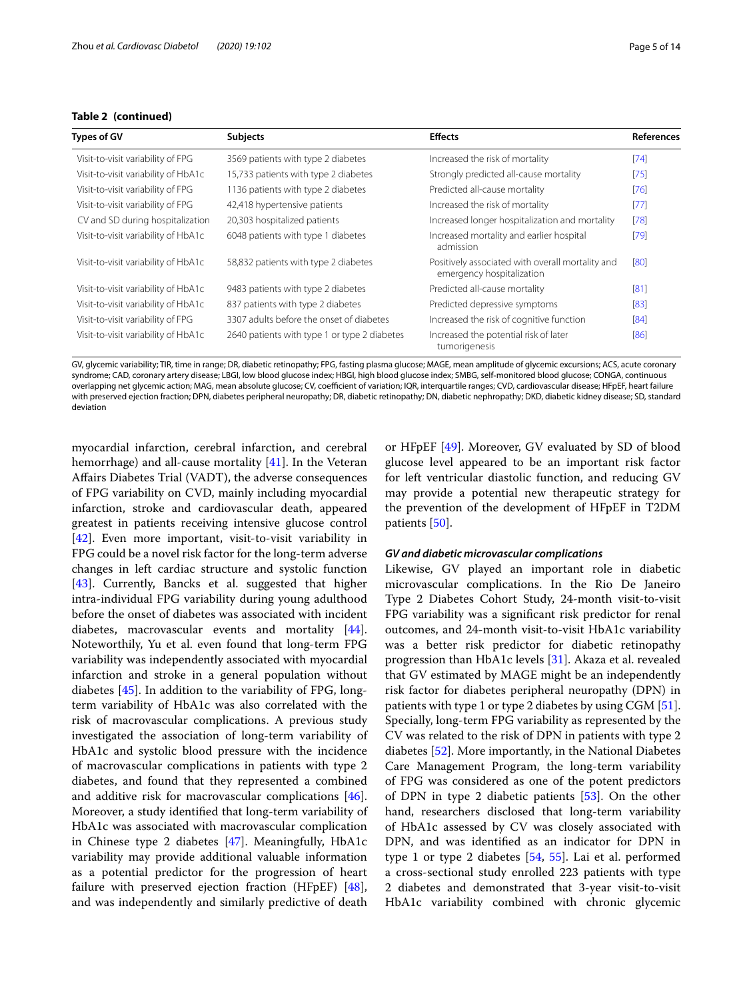#### **Table 2 (continued)**

| Types of GV                         | <b>Subjects</b>                              | <b>Effects</b>                                                                | <b>References</b> |
|-------------------------------------|----------------------------------------------|-------------------------------------------------------------------------------|-------------------|
| Visit-to-visit variability of FPG   | 3569 patients with type 2 diabetes           | Increased the risk of mortality                                               | $[74]$            |
| Visit-to-visit variability of HbA1c | 15,733 patients with type 2 diabetes         | Strongly predicted all-cause mortality                                        | $[75]$            |
| Visit-to-visit variability of FPG   | 1136 patients with type 2 diabetes           | Predicted all-cause mortality                                                 | [76]              |
| Visit-to-visit variability of FPG   | 42,418 hypertensive patients                 | Increased the risk of mortality                                               | $[77]$            |
| CV and SD during hospitalization    | 20,303 hospitalized patients                 | Increased longer hospitalization and mortality                                | [78]              |
| Visit-to-visit variability of HbA1c | 6048 patients with type 1 diabetes           | Increased mortality and earlier hospital<br>admission                         | $[79]$            |
| Visit-to-visit variability of HbA1c | 58,832 patients with type 2 diabetes         | Positively associated with overall mortality and<br>emergency hospitalization | [80]              |
| Visit-to-visit variability of HbA1c | 9483 patients with type 2 diabetes           | Predicted all-cause mortality                                                 | [81]              |
| Visit-to-visit variability of HbA1c | 837 patients with type 2 diabetes            | Predicted depressive symptoms                                                 | [83]              |
| Visit-to-visit variability of FPG   | 3307 adults before the onset of diabetes     | Increased the risk of cognitive function                                      | [84]              |
| Visit-to-visit variability of HbA1c | 2640 patients with type 1 or type 2 diabetes | Increased the potential risk of later<br>tumorigenesis                        | [86]              |

GV, glycemic variability; TIR, time in range; DR, diabetic retinopathy; FPG, fasting plasma glucose; MAGE, mean amplitude of glycemic excursions; ACS, acute coronary syndrome; CAD, coronary artery disease; LBGI, low blood glucose index; HBGI, high blood glucose index; SMBG, self-monitored blood glucose; CONGA, continuous overlapping net glycemic action; MAG, mean absolute glucose; CV, coefficient of variation; IQR, interquartile ranges; CVD, cardiovascular disease; HFpEF, heart failure with preserved ejection fraction; DPN, diabetes peripheral neuropathy; DR, diabetic retinopathy; DN, diabetic nephropathy; DKD, diabetic kidney disease; SD, standard deviation

myocardial infarction, cerebral infarction, and cerebral hemorrhage) and all-cause mortality  $[41]$ . In the Veteran Afairs Diabetes Trial (VADT), the adverse consequences of FPG variability on CVD, mainly including myocardial infarction, stroke and cardiovascular death, appeared greatest in patients receiving intensive glucose control [[42\]](#page-10-18). Even more important, visit-to-visit variability in FPG could be a novel risk factor for the long-term adverse changes in left cardiac structure and systolic function [[43\]](#page-10-19). Currently, Bancks et al. suggested that higher intra-individual FPG variability during young adulthood before the onset of diabetes was associated with incident diabetes, macrovascular events and mortality [\[44](#page-10-20)]. Noteworthily, Yu et al. even found that long-term FPG variability was independently associated with myocardial infarction and stroke in a general population without diabetes [[45](#page-10-21)]. In addition to the variability of FPG, longterm variability of HbA1c was also correlated with the risk of macrovascular complications. A previous study investigated the association of long-term variability of HbA1c and systolic blood pressure with the incidence of macrovascular complications in patients with type 2 diabetes, and found that they represented a combined and additive risk for macrovascular complications [\[46](#page-10-22)]. Moreover, a study identifed that long-term variability of HbA1c was associated with macrovascular complication in Chinese type 2 diabetes [[47\]](#page-10-23). Meaningfully, HbA1c variability may provide additional valuable information as a potential predictor for the progression of heart failure with preserved ejection fraction (HFpEF) [\[48](#page-10-24)], and was independently and similarly predictive of death or HFpEF [[49\]](#page-10-25). Moreover, GV evaluated by SD of blood glucose level appeared to be an important risk factor for left ventricular diastolic function, and reducing GV may provide a potential new therapeutic strategy for the prevention of the development of HFpEF in T2DM patients [[50\]](#page-10-31).

#### *GV and diabetic microvascular complications*

Likewise, GV played an important role in diabetic microvascular complications. In the Rio De Janeiro Type 2 Diabetes Cohort Study, 24-month visit-to-visit FPG variability was a signifcant risk predictor for renal outcomes, and 24-month visit-to-visit HbA1c variability was a better risk predictor for diabetic retinopathy progression than HbA1c levels [\[31](#page-10-16)]. Akaza et al. revealed that GV estimated by MAGE might be an independently risk factor for diabetes peripheral neuropathy (DPN) in patients with type 1 or type 2 diabetes by using CGM [\[51](#page-10-15)]. Specially, long-term FPG variability as represented by the CV was related to the risk of DPN in patients with type 2 diabetes [\[52\]](#page-10-26). More importantly, in the National Diabetes Care Management Program, the long-term variability of FPG was considered as one of the potent predictors of DPN in type 2 diabetic patients [\[53](#page-10-27)]. On the other hand, researchers disclosed that long-term variability of HbA1c assessed by CV was closely associated with DPN, and was identifed as an indicator for DPN in type 1 or type 2 diabetes [[54,](#page-10-28) [55](#page-10-29)]. Lai et al. performed a cross-sectional study enrolled 223 patients with type 2 diabetes and demonstrated that 3-year visit-to-visit HbA1c variability combined with chronic glycemic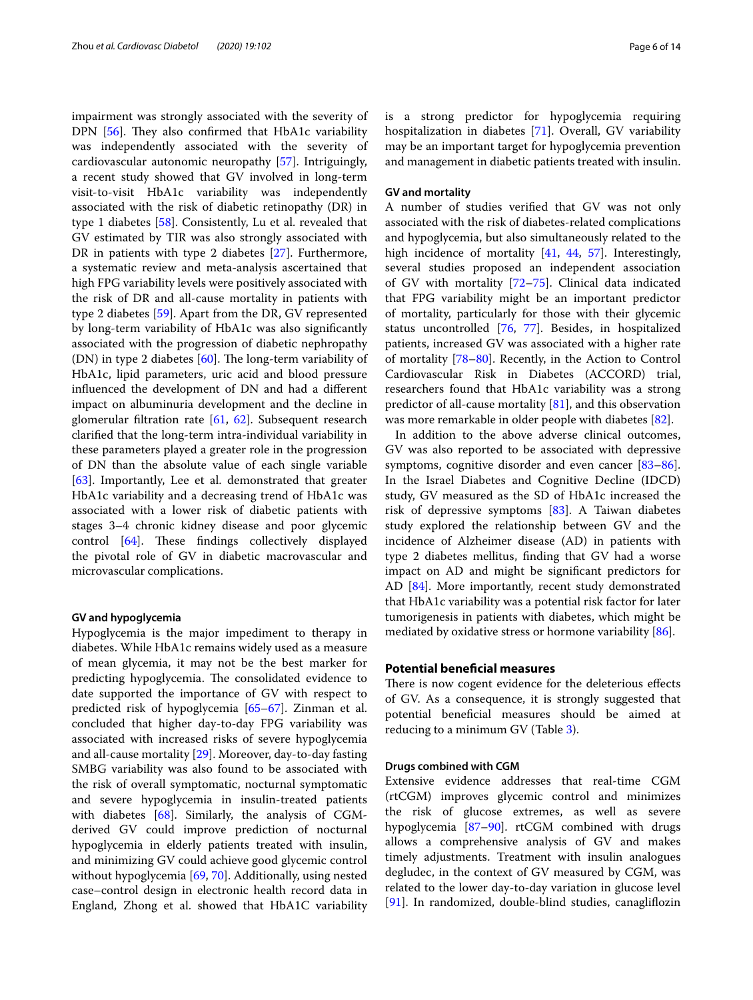impairment was strongly associated with the severity of DPN  $[56]$  $[56]$  $[56]$ . They also confirmed that HbA1c variability was independently associated with the severity of cardiovascular autonomic neuropathy [\[57](#page-10-32)]. Intriguingly, a recent study showed that GV involved in long-term visit-to-visit HbA1c variability was independently associated with the risk of diabetic retinopathy (DR) in type 1 diabetes [[58](#page-11-7)]. Consistently, Lu et al. revealed that GV estimated by TIR was also strongly associated with DR in patients with type 2 diabetes [[27](#page-10-14)]. Furthermore, a systematic review and meta-analysis ascertained that high FPG variability levels were positively associated with the risk of DR and all-cause mortality in patients with type 2 diabetes [\[59\]](#page-11-23). Apart from the DR, GV represented by long-term variability of HbA1c was also signifcantly associated with the progression of diabetic nephropathy (DN) in type 2 diabetes  $[60]$  $[60]$ . The long-term variability of HbA1c, lipid parameters, uric acid and blood pressure infuenced the development of DN and had a diferent impact on albuminuria development and the decline in glomerular fltration rate [[61,](#page-11-9) [62\]](#page-11-10). Subsequent research clarifed that the long-term intra-individual variability in these parameters played a greater role in the progression of DN than the absolute value of each single variable [[63\]](#page-11-24). Importantly, Lee et al. demonstrated that greater HbA1c variability and a decreasing trend of HbA1c was associated with a lower risk of diabetic patients with stages 3–4 chronic kidney disease and poor glycemic control  $[64]$  $[64]$ . These findings collectively displayed the pivotal role of GV in diabetic macrovascular and microvascular complications.

#### **GV and hypoglycemia**

Hypoglycemia is the major impediment to therapy in diabetes. While HbA1c remains widely used as a measure of mean glycemia, it may not be the best marker for predicting hypoglycemia. The consolidated evidence to date supported the importance of GV with respect to predicted risk of hypoglycemia [\[65](#page-11-25)[–67](#page-11-1)]. Zinman et al. concluded that higher day-to-day FPG variability was associated with increased risks of severe hypoglycemia and all-cause mortality [\[29](#page-10-3)]. Moreover, day-to-day fasting SMBG variability was also found to be associated with the risk of overall symptomatic, nocturnal symptomatic and severe hypoglycemia in insulin-treated patients with diabetes [[68\]](#page-11-2). Similarly, the analysis of CGMderived GV could improve prediction of nocturnal hypoglycemia in elderly patients treated with insulin, and minimizing GV could achieve good glycemic control without hypoglycemia [[69,](#page-11-3) [70](#page-11-4)]. Additionally, using nested case–control design in electronic health record data in England, Zhong et al. showed that HbA1C variability is a strong predictor for hypoglycemia requiring hospitalization in diabetes [\[71\]](#page-11-26). Overall, GV variability may be an important target for hypoglycemia prevention and management in diabetic patients treated with insulin.

#### **GV and mortality**

A number of studies verifed that GV was not only associated with the risk of diabetes-related complications and hypoglycemia, but also simultaneously related to the high incidence of mortality [\[41,](#page-10-17) [44,](#page-10-20) [57](#page-10-32)]. Interestingly, several studies proposed an independent association of GV with mortality [[72–](#page-11-5)[75\]](#page-11-13). Clinical data indicated that FPG variability might be an important predictor of mortality, particularly for those with their glycemic status uncontrolled [\[76](#page-11-14), [77](#page-11-15)]. Besides, in hospitalized patients, increased GV was associated with a higher rate of mortality [[78–](#page-11-16)[80](#page-11-18)]. Recently, in the Action to Control Cardiovascular Risk in Diabetes (ACCORD) trial, researchers found that HbA1c variability was a strong predictor of all-cause mortality [\[81](#page-11-19)], and this observation was more remarkable in older people with diabetes [[82\]](#page-11-27).

In addition to the above adverse clinical outcomes, GV was also reported to be associated with depressive symptoms, cognitive disorder and even cancer [[83](#page-11-20)[–86](#page-11-22)]. In the Israel Diabetes and Cognitive Decline (IDCD) study, GV measured as the SD of HbA1c increased the risk of depressive symptoms [\[83\]](#page-11-20). A Taiwan diabetes study explored the relationship between GV and the incidence of Alzheimer disease (AD) in patients with type 2 diabetes mellitus, fnding that GV had a worse impact on AD and might be signifcant predictors for AD [\[84\]](#page-11-21). More importantly, recent study demonstrated that HbA1c variability was a potential risk factor for later tumorigenesis in patients with diabetes, which might be mediated by oxidative stress or hormone variability [\[86\]](#page-11-22).

#### **Potential benefcial measures**

There is now cogent evidence for the deleterious effects of GV. As a consequence, it is strongly suggested that potential benefcial measures should be aimed at reducing to a minimum GV (Table [3\)](#page-6-0).

#### **Drugs combined with CGM**

Extensive evidence addresses that real-time CGM (rtCGM) improves glycemic control and minimizes the risk of glucose extremes, as well as severe hypoglycemia [[87](#page-11-28)[–90](#page-11-29)]. rtCGM combined with drugs allows a comprehensive analysis of GV and makes timely adjustments. Treatment with insulin analogues degludec, in the context of GV measured by CGM, was related to the lower day-to-day variation in glucose level [[91\]](#page-11-30). In randomized, double-blind studies, canagliflozin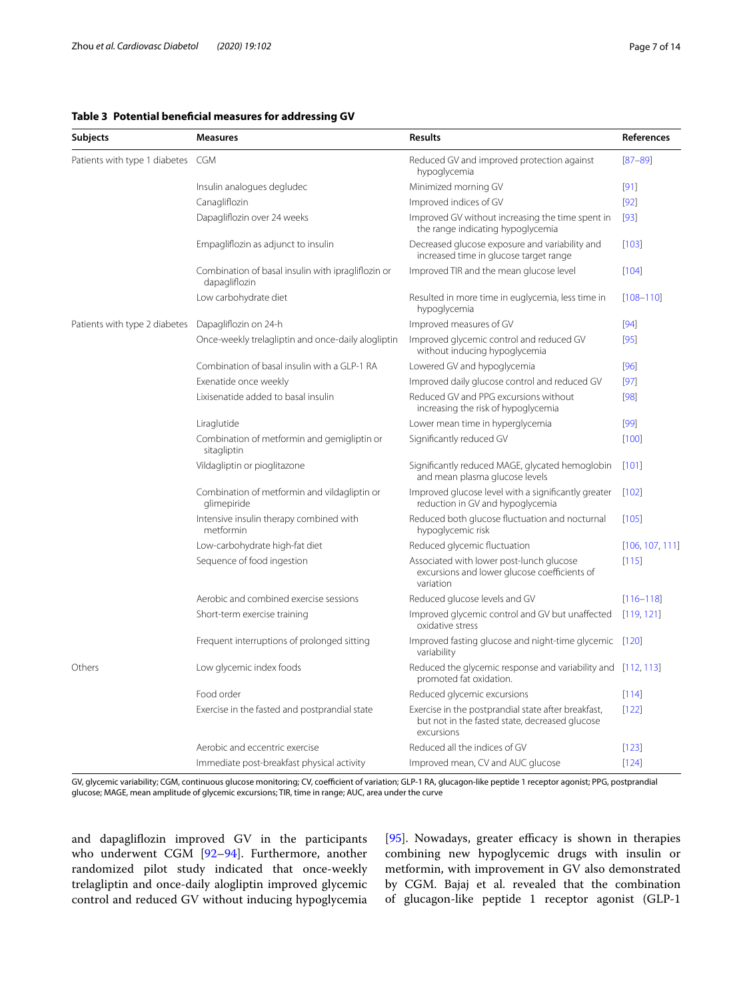<span id="page-6-0"></span>

| <b>Subjects</b>                   | <b>Measures</b>                                                     | <b>Results</b>                                                                                                      | References      |
|-----------------------------------|---------------------------------------------------------------------|---------------------------------------------------------------------------------------------------------------------|-----------------|
| Patients with type 1 diabetes CGM |                                                                     | Reduced GV and improved protection against<br>hypoglycemia                                                          | $[87 - 89]$     |
|                                   | Insulin analogues degludec                                          | Minimized morning GV                                                                                                | $[91]$          |
|                                   | Canagliflozin                                                       | Improved indices of GV                                                                                              | $[92]$          |
|                                   | Dapagliflozin over 24 weeks                                         | Improved GV without increasing the time spent in<br>the range indicating hypoglycemia                               | $[93]$          |
|                                   | Empagliflozin as adjunct to insulin                                 | Decreased glucose exposure and variability and<br>increased time in glucose target range                            | [103]           |
|                                   | Combination of basal insulin with ipragliflozin or<br>dapagliflozin | Improved TIR and the mean glucose level                                                                             | [104]           |
|                                   | Low carbohydrate diet                                               | Resulted in more time in euglycemia, less time in<br>hypoglycemia                                                   | $[108 - 110]$   |
| Patients with type 2 diabetes     | Dapagliflozin on 24-h                                               | Improved measures of GV                                                                                             | [94]            |
|                                   | Once-weekly trelagliptin and once-daily alogliptin                  | Improved glycemic control and reduced GV<br>without inducing hypoglycemia                                           | [95]            |
|                                   | Combination of basal insulin with a GLP-1 RA                        | Lowered GV and hypoglycemia                                                                                         | $[96]$          |
|                                   | Exenatide once weekly                                               | Improved daily glucose control and reduced GV                                                                       | $[97]$          |
|                                   | Lixisenatide added to basal insulin                                 | Reduced GV and PPG excursions without<br>increasing the risk of hypoglycemia                                        | [98]            |
|                                   | Liraglutide                                                         | Lower mean time in hyperglycemia                                                                                    | [99]            |
|                                   | Combination of metformin and gemigliptin or<br>sitagliptin          | Significantly reduced GV                                                                                            | [100]           |
|                                   | Vildagliptin or pioglitazone                                        | Significantly reduced MAGE, glycated hemoglobin<br>and mean plasma glucose levels                                   | $[101]$         |
|                                   | Combination of metformin and vildagliptin or<br>glimepiride         | Improved glucose level with a significantly greater<br>reduction in GV and hypoglycemia                             | $[102]$         |
|                                   | Intensive insulin therapy combined with<br>metformin                | Reduced both glucose fluctuation and nocturnal<br>hypoglycemic risk                                                 | [105]           |
|                                   | Low-carbohydrate high-fat diet                                      | Reduced glycemic fluctuation                                                                                        | [106, 107, 111] |
|                                   | Sequence of food ingestion                                          | Associated with lower post-lunch glucose<br>excursions and lower glucose coefficients of<br>variation               | [115]           |
|                                   | Aerobic and combined exercise sessions                              | Reduced glucose levels and GV                                                                                       | $[116 - 118]$   |
|                                   | Short-term exercise training                                        | Improved glycemic control and GV but unaffected<br>oxidative stress                                                 | [119, 121]      |
|                                   | Frequent interruptions of prolonged sitting                         | Improved fasting glucose and night-time glycemic [120]<br>variability                                               |                 |
| Others                            | Low glycemic index foods                                            | Reduced the glycemic response and variability and [112, 113]<br>promoted fat oxidation.                             |                 |
|                                   | Food order                                                          | Reduced glycemic excursions                                                                                         | [114]           |
|                                   | Exercise in the fasted and postprandial state                       | Exercise in the postprandial state after breakfast,<br>but not in the fasted state, decreased glucose<br>excursions | [122]           |
|                                   | Aerobic and eccentric exercise                                      | Reduced all the indices of GV                                                                                       | $[123]$         |
|                                   | Immediate post-breakfast physical activity                          | Improved mean, CV and AUC glucose                                                                                   | $[124]$         |

GV, glycemic variability; CGM, continuous glucose monitoring; CV, coefficient of variation; GLP-1 RA, glucagon-like peptide 1 receptor agonist; PPG, postprandial glucose; MAGE, mean amplitude of glycemic excursions; TIR, time in range; AUC, area under the curve

and dapaglifozin improved GV in the participants who underwent CGM [[92–](#page-11-31)[94](#page-12-0)]. Furthermore, another randomized pilot study indicated that once-weekly trelagliptin and once-daily alogliptin improved glycemic control and reduced GV without inducing hypoglycemia [[95\]](#page-12-1). Nowadays, greater efficacy is shown in therapies combining new hypoglycemic drugs with insulin or metformin, with improvement in GV also demonstrated by CGM. Bajaj et al. revealed that the combination of glucagon-like peptide 1 receptor agonist (GLP-1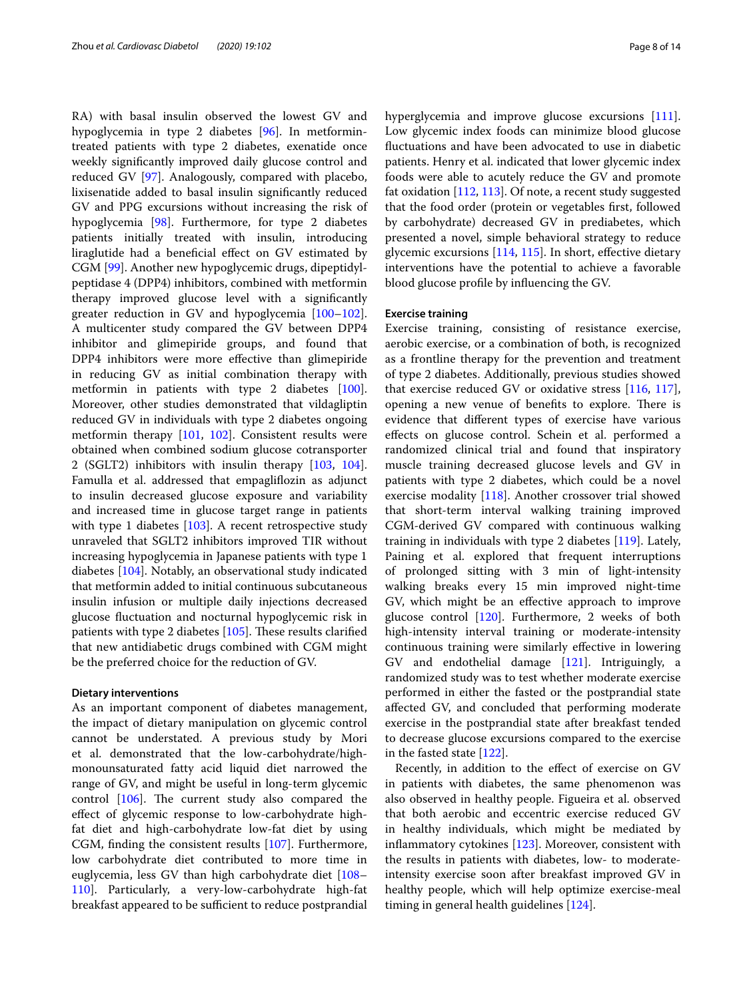RA) with basal insulin observed the lowest GV and hypoglycemia in type 2 diabetes [[96\]](#page-12-6). In metformintreated patients with type 2 diabetes, exenatide once weekly signifcantly improved daily glucose control and reduced GV [[97\]](#page-12-7). Analogously, compared with placebo, lixisenatide added to basal insulin signifcantly reduced GV and PPG excursions without increasing the risk of hypoglycemia [\[98](#page-12-8)]. Furthermore, for type 2 diabetes patients initially treated with insulin, introducing liraglutide had a benefcial efect on GV estimated by CGM [\[99](#page-12-9)]. Another new hypoglycemic drugs, dipeptidylpeptidase 4 (DPP4) inhibitors, combined with metformin therapy improved glucose level with a signifcantly greater reduction in GV and hypoglycemia [[100](#page-12-10)[–102](#page-12-12)]. A multicenter study compared the GV between DPP4 inhibitor and glimepiride groups, and found that DPP4 inhibitors were more efective than glimepiride in reducing GV as initial combination therapy with metformin in patients with type 2 diabetes [\[100](#page-12-10)]. Moreover, other studies demonstrated that vildagliptin reduced GV in individuals with type 2 diabetes ongoing metformin therapy [\[101](#page-12-11), [102\]](#page-12-12). Consistent results were obtained when combined sodium glucose cotransporter 2 (SGLT2) inhibitors with insulin therapy [\[103,](#page-12-2) [104](#page-12-3)]. Famulla et al. addressed that empaglifozin as adjunct to insulin decreased glucose exposure and variability and increased time in glucose target range in patients with type 1 diabetes [\[103](#page-12-2)]. A recent retrospective study unraveled that SGLT2 inhibitors improved TIR without increasing hypoglycemia in Japanese patients with type 1 diabetes [\[104](#page-12-3)]. Notably, an observational study indicated that metformin added to initial continuous subcutaneous insulin infusion or multiple daily injections decreased glucose fuctuation and nocturnal hypoglycemic risk in patients with type 2 diabetes  $[105]$ . These results clarified that new antidiabetic drugs combined with CGM might be the preferred choice for the reduction of GV.

#### **Dietary interventions**

As an important component of diabetes management, the impact of dietary manipulation on glycemic control cannot be understated. A previous study by Mori et al. demonstrated that the low-carbohydrate/highmonounsaturated fatty acid liquid diet narrowed the range of GV, and might be useful in long-term glycemic control  $[106]$  $[106]$  $[106]$ . The current study also compared the efect of glycemic response to low-carbohydrate highfat diet and high-carbohydrate low-fat diet by using CGM, fnding the consistent results [\[107](#page-12-15)]. Furthermore, low carbohydrate diet contributed to more time in euglycemia, less GV than high carbohydrate diet [[108–](#page-12-4) [110](#page-12-5)]. Particularly, a very-low-carbohydrate high-fat breakfast appeared to be sufficient to reduce postprandial hyperglycemia and improve glucose excursions [\[111](#page-12-16)]. Low glycemic index foods can minimize blood glucose fuctuations and have been advocated to use in diabetic patients. Henry et al. indicated that lower glycemic index foods were able to acutely reduce the GV and promote fat oxidation [[112,](#page-12-23) [113\]](#page-12-24). Of note, a recent study suggested that the food order (protein or vegetables frst, followed by carbohydrate) decreased GV in prediabetes, which presented a novel, simple behavioral strategy to reduce glycemic excursions [[114](#page-12-25), [115](#page-12-17)]. In short, efective dietary interventions have the potential to achieve a favorable blood glucose profle by infuencing the GV.

#### **Exercise training**

Exercise training, consisting of resistance exercise, aerobic exercise, or a combination of both, is recognized as a frontline therapy for the prevention and treatment of type 2 diabetes. Additionally, previous studies showed that exercise reduced GV or oxidative stress [[116,](#page-12-18) [117](#page-12-29)], opening a new venue of benefits to explore. There is evidence that diferent types of exercise have various efects on glucose control. Schein et al. performed a randomized clinical trial and found that inspiratory muscle training decreased glucose levels and GV in patients with type 2 diabetes, which could be a novel exercise modality [[118](#page-12-19)]. Another crossover trial showed that short-term interval walking training improved CGM-derived GV compared with continuous walking training in individuals with type 2 diabetes [[119\]](#page-12-20). Lately, Paining et al. explored that frequent interruptions of prolonged sitting with 3 min of light-intensity walking breaks every 15 min improved night-time GV, which might be an efective approach to improve glucose control [\[120\]](#page-12-22). Furthermore, 2 weeks of both high-intensity interval training or moderate-intensity continuous training were similarly efective in lowering GV and endothelial damage [\[121](#page-12-21)]. Intriguingly, a randomized study was to test whether moderate exercise performed in either the fasted or the postprandial state afected GV, and concluded that performing moderate exercise in the postprandial state after breakfast tended to decrease glucose excursions compared to the exercise in the fasted state [[122\]](#page-12-26).

Recently, in addition to the efect of exercise on GV in patients with diabetes, the same phenomenon was also observed in healthy people. Figueira et al. observed that both aerobic and eccentric exercise reduced GV in healthy individuals, which might be mediated by infammatory cytokines [\[123](#page-12-27)]. Moreover, consistent with the results in patients with diabetes, low- to moderateintensity exercise soon after breakfast improved GV in healthy people, which will help optimize exercise-meal timing in general health guidelines [\[124\]](#page-12-28).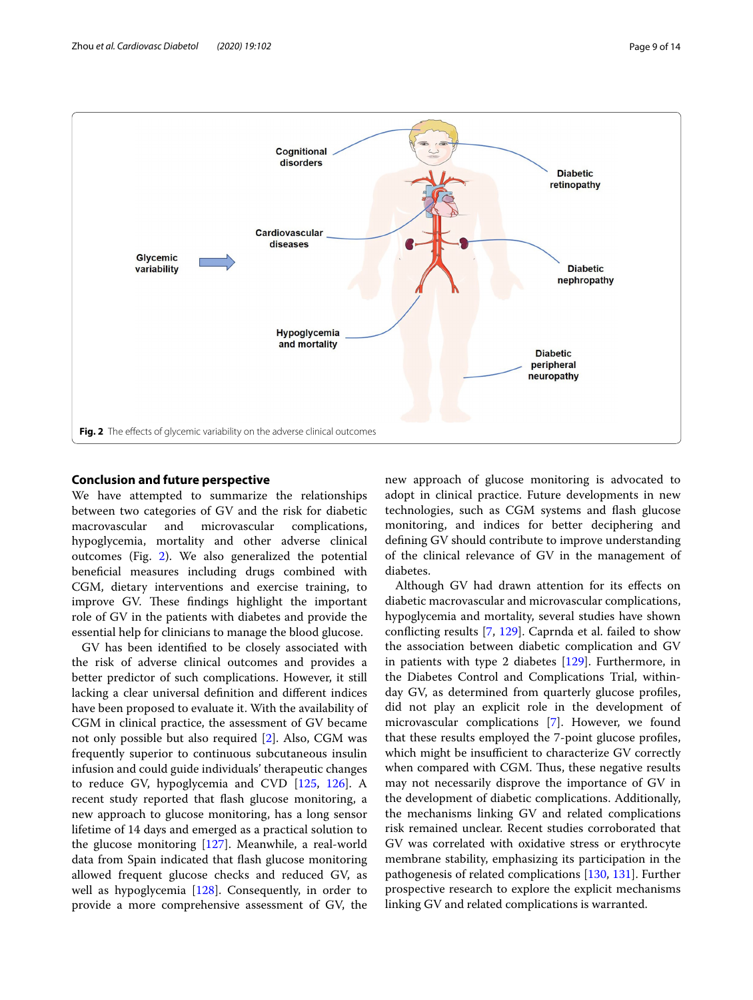

#### <span id="page-8-0"></span>**Conclusion and future perspective**

We have attempted to summarize the relationships between two categories of GV and the risk for diabetic macrovascular and microvascular complications, hypoglycemia, mortality and other adverse clinical outcomes (Fig. [2\)](#page-8-0). We also generalized the potential benefcial measures including drugs combined with CGM, dietary interventions and exercise training, to improve GV. These findings highlight the important role of GV in the patients with diabetes and provide the essential help for clinicians to manage the blood glucose.

GV has been identifed to be closely associated with the risk of adverse clinical outcomes and provides a better predictor of such complications. However, it still lacking a clear universal defnition and diferent indices have been proposed to evaluate it. With the availability of CGM in clinical practice, the assessment of GV became not only possible but also required [\[2](#page-9-1)]. Also, CGM was frequently superior to continuous subcutaneous insulin infusion and could guide individuals' therapeutic changes to reduce GV, hypoglycemia and CVD [[125,](#page-12-30) [126\]](#page-12-31). A recent study reported that fash glucose monitoring, a new approach to glucose monitoring, has a long sensor lifetime of 14 days and emerged as a practical solution to the glucose monitoring [[127\]](#page-12-32). Meanwhile, a real-world data from Spain indicated that fash glucose monitoring allowed frequent glucose checks and reduced GV, as well as hypoglycemia [\[128\]](#page-13-0). Consequently, in order to provide a more comprehensive assessment of GV, the new approach of glucose monitoring is advocated to adopt in clinical practice. Future developments in new technologies, such as CGM systems and fash glucose monitoring, and indices for better deciphering and defning GV should contribute to improve understanding of the clinical relevance of GV in the management of diabetes.

Although GV had drawn attention for its efects on diabetic macrovascular and microvascular complications, hypoglycemia and mortality, several studies have shown conficting results [[7,](#page-9-6) [129\]](#page-13-1). Caprnda et al. failed to show the association between diabetic complication and GV in patients with type 2 diabetes [\[129](#page-13-1)]. Furthermore, in the Diabetes Control and Complications Trial, withinday GV, as determined from quarterly glucose profles, did not play an explicit role in the development of microvascular complications [[7](#page-9-6)]. However, we found that these results employed the 7-point glucose profles, which might be insufficient to characterize GV correctly when compared with CGM. Thus, these negative results may not necessarily disprove the importance of GV in the development of diabetic complications. Additionally, the mechanisms linking GV and related complications risk remained unclear. Recent studies corroborated that GV was correlated with oxidative stress or erythrocyte membrane stability, emphasizing its participation in the pathogenesis of related complications [\[130,](#page-13-2) [131\]](#page-13-3). Further prospective research to explore the explicit mechanisms linking GV and related complications is warranted.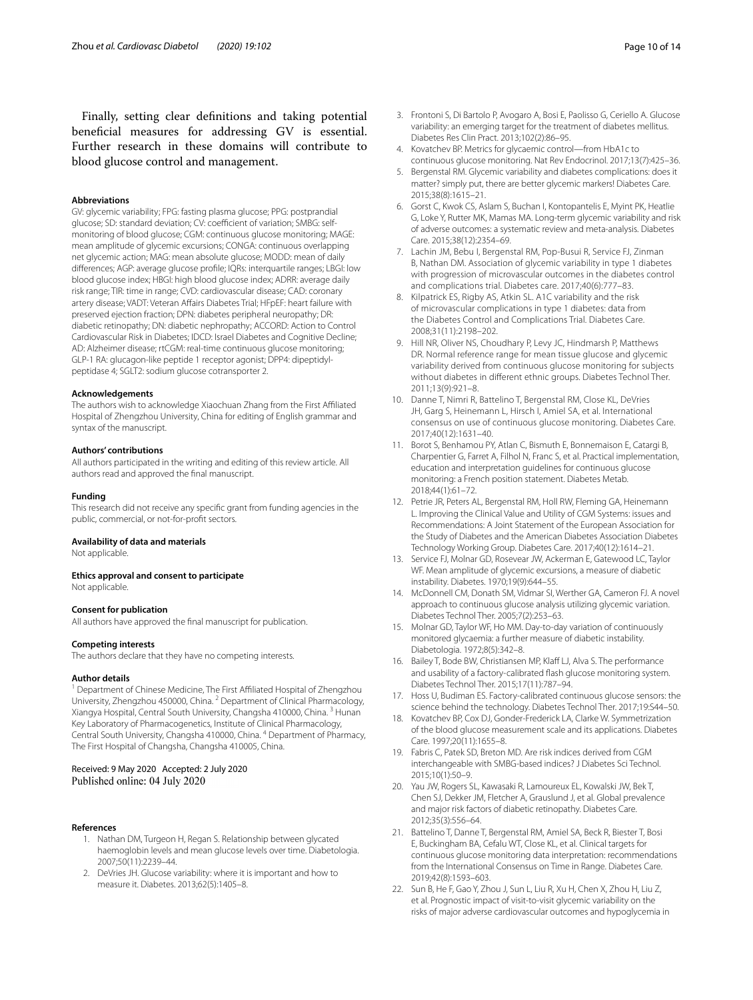Finally, setting clear defnitions and taking potential benefcial measures for addressing GV is essential. Further research in these domains will contribute to blood glucose control and management.

#### **Abbreviations**

GV: glycemic variability; FPG: fasting plasma glucose; PPG: postprandial glucose; SD: standard deviation; CV: coefficient of variation; SMBG: selfmonitoring of blood glucose; CGM: continuous glucose monitoring; MAGE: mean amplitude of glycemic excursions; CONGA: continuous overlapping net glycemic action; MAG: mean absolute glucose; MODD: mean of daily diferences; AGP: average glucose profle; IQRs: interquartile ranges; LBGI: low blood glucose index; HBGI: high blood glucose index; ADRR: average daily risk range; TIR: time in range; CVD: cardiovascular disease; CAD: coronary artery disease; VADT: Veteran Afairs Diabetes Trial; HFpEF: heart failure with preserved ejection fraction; DPN: diabetes peripheral neuropathy; DR: diabetic retinopathy; DN: diabetic nephropathy; ACCORD: Action to Control Cardiovascular Risk in Diabetes; IDCD: Israel Diabetes and Cognitive Decline; AD: Alzheimer disease; rtCGM: real-time continuous glucose monitoring; GLP-1 RA: glucagon-like peptide 1 receptor agonist; DPP4: dipeptidylpeptidase 4; SGLT2: sodium glucose cotransporter 2.

#### **Acknowledgements**

The authors wish to acknowledge Xiaochuan Zhang from the First Afliated Hospital of Zhengzhou University, China for editing of English grammar and syntax of the manuscript.

#### **Authors' contributions**

All authors participated in the writing and editing of this review article. All authors read and approved the fnal manuscript.

#### **Funding**

This research did not receive any specifc grant from funding agencies in the public, commercial, or not-for-proft sectors.

#### **Availability of data and materials**

Not applicable.

#### **Ethics approval and consent to participate**

Not applicable.

#### **Consent for publication**

All authors have approved the fnal manuscript for publication.

#### **Competing interests**

The authors declare that they have no competing interests.

#### **Author details**

<sup>1</sup> Department of Chinese Medicine, The First Affiliated Hospital of Zhengzhou University, Zhengzhou 450000, China. <sup>2</sup> Department of Clinical Pharmacology, Xiangya Hospital, Central South University, Changsha 410000, China. 3 Hunan Key Laboratory of Pharmacogenetics, Institute of Clinical Pharmacology, Central South University, Changsha 410000, China. 4 Department of Pharmacy, The First Hospital of Changsha, Changsha 410005, China.

# Received: 9 May 2020 Accepted: 2 July 2020<br>Published online: 04 July 2020

#### <span id="page-9-0"></span>**References**

- 1. Nathan DM, Turgeon H, Regan S. Relationship between glycated haemoglobin levels and mean glucose levels over time. Diabetologia. 2007;50(11):2239–44.
- <span id="page-9-1"></span>2. DeVries JH. Glucose variability: where it is important and how to measure it. Diabetes. 2013;62(5):1405–8.
- <span id="page-9-2"></span>3. Frontoni S, Di Bartolo P, Avogaro A, Bosi E, Paolisso G, Ceriello A. Glucose variability: an emerging target for the treatment of diabetes mellitus. Diabetes Res Clin Pract. 2013;102(2):86–95.
- <span id="page-9-3"></span>4. Kovatchev BP. Metrics for glycaemic control—from HbA1c to continuous glucose monitoring. Nat Rev Endocrinol. 2017;13(7):425–36.
- <span id="page-9-4"></span>5. Bergenstal RM. Glycemic variability and diabetes complications: does it matter? simply put, there are better glycemic markers! Diabetes Care. 2015;38(8):1615–21.
- <span id="page-9-5"></span>6. Gorst C, Kwok CS, Aslam S, Buchan I, Kontopantelis E, Myint PK, Heatlie G, Loke Y, Rutter MK, Mamas MA. Long-term glycemic variability and risk of adverse outcomes: a systematic review and meta-analysis. Diabetes Care. 2015;38(12):2354–69.
- <span id="page-9-6"></span>7. Lachin JM, Bebu I, Bergenstal RM, Pop-Busui R, Service FJ, Zinman B, Nathan DM. Association of glycemic variability in type 1 diabetes with progression of microvascular outcomes in the diabetes control and complications trial. Diabetes care. 2017;40(6):777–83.
- <span id="page-9-7"></span>8. Kilpatrick ES, Rigby AS, Atkin SL. A1C variability and the risk of microvascular complications in type 1 diabetes: data from the Diabetes Control and Complications Trial. Diabetes Care. 2008;31(11):2198–202.
- <span id="page-9-8"></span>9. Hill NR, Oliver NS, Choudhary P, Levy JC, Hindmarsh P, Matthews DR. Normal reference range for mean tissue glucose and glycemic variability derived from continuous glucose monitoring for subjects without diabetes in diferent ethnic groups. Diabetes Technol Ther. 2011;13(9):921–8.
- <span id="page-9-19"></span>10. Danne T, Nimri R, Battelino T, Bergenstal RM, Close KL, DeVries JH, Garg S, Heinemann L, Hirsch I, Amiel SA, et al. International consensus on use of continuous glucose monitoring. Diabetes Care. 2017;40(12):1631–40.
- 11. Borot S, Benhamou PY, Atlan C, Bismuth E, Bonnemaison E, Catargi B, Charpentier G, Farret A, Filhol N, Franc S, et al. Practical implementation, education and interpretation guidelines for continuous glucose monitoring: a French position statement. Diabetes Metab. 2018;44(1):61–72.
- <span id="page-9-9"></span>12. Petrie JR, Peters AL, Bergenstal RM, Holl RW, Fleming GA, Heinemann L. Improving the Clinical Value and Utility of CGM Systems: issues and Recommendations: A Joint Statement of the European Association for the Study of Diabetes and the American Diabetes Association Diabetes Technology Working Group. Diabetes Care. 2017;40(12):1614–21.
- <span id="page-9-10"></span>13. Service FJ, Molnar GD, Rosevear JW, Ackerman E, Gatewood LC, Taylor WF. Mean amplitude of glycemic excursions, a measure of diabetic instability. Diabetes. 1970;19(9):644–55.
- <span id="page-9-11"></span>14. McDonnell CM, Donath SM, Vidmar SI, Werther GA, Cameron FJ. A novel approach to continuous glucose analysis utilizing glycemic variation. Diabetes Technol Ther. 2005;7(2):253–63.
- <span id="page-9-12"></span>15. Molnar GD, Taylor WF, Ho MM. Day-to-day variation of continuously monitored glycaemia: a further measure of diabetic instability. Diabetologia. 1972;8(5):342–8.
- <span id="page-9-13"></span>16. Bailey T, Bode BW, Christiansen MP, Klaff LJ, Alva S. The performance and usability of a factory-calibrated fash glucose monitoring system. Diabetes Technol Ther. 2015;17(11):787–94.
- <span id="page-9-14"></span>17. Hoss U, Budiman ES. Factory-calibrated continuous glucose sensors: the science behind the technology. Diabetes Technol Ther. 2017;19:S44–50.
- <span id="page-9-15"></span>18. Kovatchev BP, Cox DJ, Gonder-Frederick LA, Clarke W. Symmetrization of the blood glucose measurement scale and its applications. Diabetes Care. 1997;20(11):1655–8.
- <span id="page-9-16"></span>19. Fabris C, Patek SD, Breton MD. Are risk indices derived from CGM interchangeable with SMBG-based indices? J Diabetes Sci Technol. 2015;10(1):50–9.
- <span id="page-9-17"></span>20. Yau JW, Rogers SL, Kawasaki R, Lamoureux EL, Kowalski JW, Bek T, Chen SJ, Dekker JM, Fletcher A, Grauslund J, et al. Global prevalence and major risk factors of diabetic retinopathy. Diabetes Care. 2012;35(3):556–64.
- <span id="page-9-18"></span>21. Battelino T, Danne T, Bergenstal RM, Amiel SA, Beck R, Biester T, Bosi E, Buckingham BA, Cefalu WT, Close KL, et al. Clinical targets for continuous glucose monitoring data interpretation: recommendations from the International Consensus on Time in Range. Diabetes Care. 2019;42(8):1593–603.
- <span id="page-9-20"></span>22. Sun B, He F, Gao Y, Zhou J, Sun L, Liu R, Xu H, Chen X, Zhou H, Liu Z, et al. Prognostic impact of visit-to-visit glycemic variability on the risks of major adverse cardiovascular outcomes and hypoglycemia in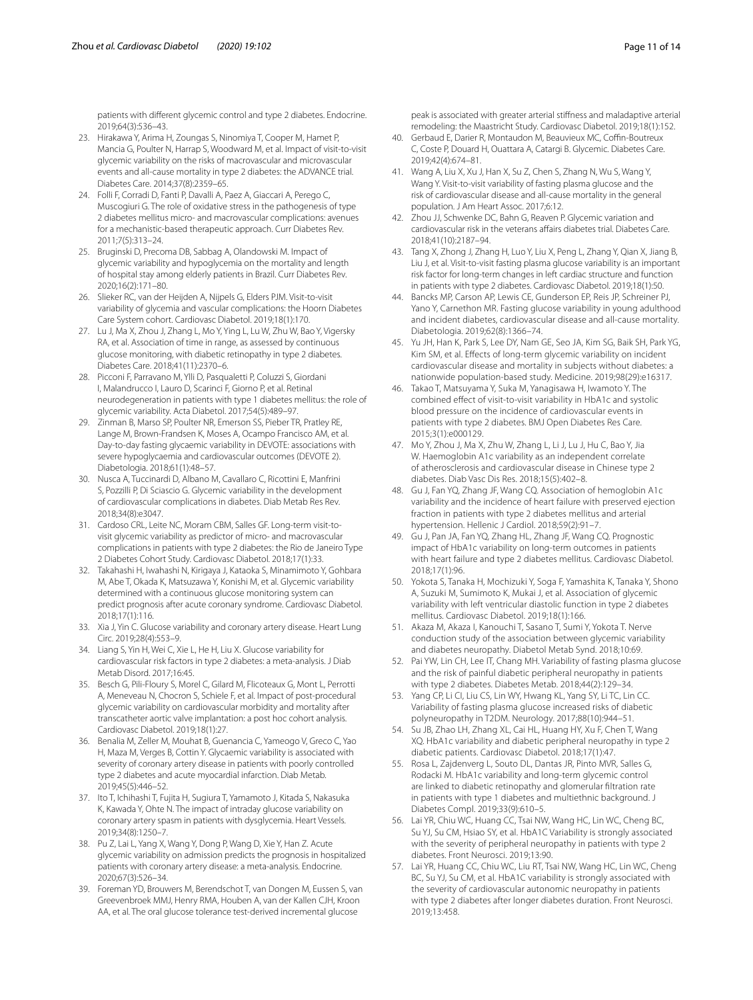patients with diferent glycemic control and type 2 diabetes. Endocrine. 2019;64(3):536–43.

- <span id="page-10-0"></span>23. Hirakawa Y, Arima H, Zoungas S, Ninomiya T, Cooper M, Hamet P, Mancia G, Poulter N, Harrap S, Woodward M, et al. Impact of visit-to-visit glycemic variability on the risks of macrovascular and microvascular events and all-cause mortality in type 2 diabetes: the ADVANCE trial. Diabetes Care. 2014;37(8):2359–65.
- 24. Folli F, Corradi D, Fanti P, Davalli A, Paez A, Giaccari A, Perego C, Muscogiuri G. The role of oxidative stress in the pathogenesis of type 2 diabetes mellitus micro- and macrovascular complications: avenues for a mechanistic-based therapeutic approach. Curr Diabetes Rev. 2011;7(5):313–24.
- <span id="page-10-1"></span>25. Bruginski D, Precoma DB, Sabbag A, Olandowski M. Impact of glycemic variability and hypoglycemia on the mortality and length of hospital stay among elderly patients in Brazil. Curr Diabetes Rev. 2020;16(2):171–80.
- <span id="page-10-2"></span>26. Slieker RC, van der Heijden A, Nijpels G, Elders PJM. Visit-to-visit variability of glycemia and vascular complications: the Hoorn Diabetes Care System cohort. Cardiovasc Diabetol. 2019;18(1):170.
- <span id="page-10-14"></span>27. Lu J, Ma X, Zhou J, Zhang L, Mo Y, Ying L, Lu W, Zhu W, Bao Y, Vigersky RA, et al. Association of time in range, as assessed by continuous glucose monitoring, with diabetic retinopathy in type 2 diabetes. Diabetes Care. 2018;41(11):2370–6.
- 28. Picconi F, Parravano M, Ylli D, Pasqualetti P, Coluzzi S, Giordani I, Malandrucco I, Lauro D, Scarinci F, Giorno P, et al. Retinal neurodegeneration in patients with type 1 diabetes mellitus: the role of glycemic variability. Acta Diabetol. 2017;54(5):489–97.
- <span id="page-10-3"></span>29. Zinman B, Marso SP, Poulter NR, Emerson SS, Pieber TR, Pratley RE, Lange M, Brown-Frandsen K, Moses A, Ocampo Francisco AM, et al. Day-to-day fasting glycaemic variability in DEVOTE: associations with severe hypoglycaemia and cardiovascular outcomes (DEVOTE 2). Diabetologia. 2018;61(1):48–57.
- <span id="page-10-4"></span>30. Nusca A, Tuccinardi D, Albano M, Cavallaro C, Ricottini E, Manfrini S, Pozzilli P, Di Sciascio G. Glycemic variability in the development of cardiovascular complications in diabetes. Diab Metab Res Rev. 2018;34(8):e3047.
- <span id="page-10-16"></span>31. Cardoso CRL, Leite NC, Moram CBM, Salles GF. Long-term visit-tovisit glycemic variability as predictor of micro- and macrovascular complications in patients with type 2 diabetes: the Rio de Janeiro Type 2 Diabetes Cohort Study. Cardiovasc Diabetol. 2018;17(1):33.
- <span id="page-10-6"></span>32. Takahashi H, Iwahashi N, Kirigaya J, Kataoka S, Minamimoto Y, Gohbara M, Abe T, Okada K, Matsuzawa Y, Konishi M, et al. Glycemic variability determined with a continuous glucose monitoring system can predict prognosis after acute coronary syndrome. Cardiovasc Diabetol. 2018;17(1):116.
- <span id="page-10-5"></span>33. Xia J, Yin C. Glucose variability and coronary artery disease. Heart Lung Circ. 2019;28(4):553–9.
- <span id="page-10-7"></span>34. Liang S, Yin H, Wei C, Xie L, He H, Liu X. Glucose variability for cardiovascular risk factors in type 2 diabetes: a meta-analysis. J Diab Metab Disord. 2017;16:45.
- <span id="page-10-8"></span>35. Besch G, Pili-Floury S, Morel C, Gilard M, Flicoteaux G, Mont L, Perrotti A, Meneveau N, Chocron S, Schiele F, et al. Impact of post-procedural glycemic variability on cardiovascular morbidity and mortality after transcatheter aortic valve implantation: a post hoc cohort analysis. Cardiovasc Diabetol. 2019;18(1):27.
- <span id="page-10-9"></span>36. Benalia M, Zeller M, Mouhat B, Guenancia C, Yameogo V, Greco C, Yao H, Maza M, Verges B, Cottin Y. Glycaemic variability is associated with severity of coronary artery disease in patients with poorly controlled type 2 diabetes and acute myocardial infarction. Diab Metab. 2019;45(5):446–52.
- <span id="page-10-10"></span>37. Ito T, Ichihashi T, Fujita H, Sugiura T, Yamamoto J, Kitada S, Nakasuka K, Kawada Y, Ohte N. The impact of intraday glucose variability on coronary artery spasm in patients with dysglycemia. Heart Vessels. 2019;34(8):1250–7.
- <span id="page-10-11"></span>38. Pu Z, Lai L, Yang X, Wang Y, Dong P, Wang D, Xie Y, Han Z. Acute glycemic variability on admission predicts the prognosis in hospitalized patients with coronary artery disease: a meta-analysis. Endocrine. 2020;67(3):526–34.
- <span id="page-10-12"></span>39. Foreman YD, Brouwers M, Berendschot T, van Dongen M, Eussen S, van Greevenbroek MMJ, Henry RMA, Houben A, van der Kallen CJH, Kroon AA, et al. The oral glucose tolerance test-derived incremental glucose

peak is associated with greater arterial stifness and maladaptive arterial remodeling: the Maastricht Study. Cardiovasc Diabetol. 2019;18(1):152.

- <span id="page-10-13"></span>40. Gerbaud E, Darier R, Montaudon M, Beauvieux MC, Coffin-Boutreux C, Coste P, Douard H, Ouattara A, Catargi B. Glycemic. Diabetes Care. 2019;42(4):674–81.
- <span id="page-10-17"></span>41. Wang A, Liu X, Xu J, Han X, Su Z, Chen S, Zhang N, Wu S, Wang Y, Wang Y. Visit-to-visit variability of fasting plasma glucose and the risk of cardiovascular disease and all-cause mortality in the general population. J Am Heart Assoc. 2017;6:12.
- <span id="page-10-18"></span>42. Zhou JJ, Schwenke DC, Bahn G, Reaven P. Glycemic variation and cardiovascular risk in the veterans affairs diabetes trial. Diabetes Care. 2018;41(10):2187–94.
- <span id="page-10-19"></span>43. Tang X, Zhong J, Zhang H, Luo Y, Liu X, Peng L, Zhang Y, Qian X, Jiang B, Liu J, et al. Visit-to-visit fasting plasma glucose variability is an important risk factor for long-term changes in left cardiac structure and function in patients with type 2 diabetes. Cardiovasc Diabetol. 2019;18(1):50.
- <span id="page-10-20"></span>44. Bancks MP, Carson AP, Lewis CE, Gunderson EP, Reis JP, Schreiner PJ, Yano Y, Carnethon MR. Fasting glucose variability in young adulthood and incident diabetes, cardiovascular disease and all-cause mortality. Diabetologia. 2019;62(8):1366–74.
- <span id="page-10-21"></span>45. Yu JH, Han K, Park S, Lee DY, Nam GE, Seo JA, Kim SG, Baik SH, Park YG, Kim SM, et al. Efects of long-term glycemic variability on incident cardiovascular disease and mortality in subjects without diabetes: a nationwide population-based study. Medicine. 2019;98(29):e16317.
- <span id="page-10-22"></span>46. Takao T, Matsuyama Y, Suka M, Yanagisawa H, Iwamoto Y. The combined efect of visit-to-visit variability in HbA1c and systolic blood pressure on the incidence of cardiovascular events in patients with type 2 diabetes. BMJ Open Diabetes Res Care. 2015;3(1):e000129.
- <span id="page-10-23"></span>47. Mo Y, Zhou J, Ma X, Zhu W, Zhang L, Li J, Lu J, Hu C, Bao Y, Jia W. Haemoglobin A1c variability as an independent correlate of atherosclerosis and cardiovascular disease in Chinese type 2 diabetes. Diab Vasc Dis Res. 2018;15(5):402–8.
- <span id="page-10-24"></span>48. Gu J, Fan YQ, Zhang JF, Wang CQ. Association of hemoglobin A1c variability and the incidence of heart failure with preserved ejection fraction in patients with type 2 diabetes mellitus and arterial hypertension. Hellenic J Cardiol. 2018;59(2):91–7.
- <span id="page-10-25"></span>49. Gu J, Pan JA, Fan YQ, Zhang HL, Zhang JF, Wang CQ. Prognostic impact of HbA1c variability on long-term outcomes in patients with heart failure and type 2 diabetes mellitus. Cardiovasc Diabetol. 2018;17(1):96.
- <span id="page-10-31"></span>50. Yokota S, Tanaka H, Mochizuki Y, Soga F, Yamashita K, Tanaka Y, Shono A, Suzuki M, Sumimoto K, Mukai J, et al. Association of glycemic variability with left ventricular diastolic function in type 2 diabetes mellitus. Cardiovasc Diabetol. 2019;18(1):166.
- <span id="page-10-15"></span>51. Akaza M, Akaza I, Kanouchi T, Sasano T, Sumi Y, Yokota T. Nerve conduction study of the association between glycemic variability and diabetes neuropathy. Diabetol Metab Synd. 2018;10:69.
- <span id="page-10-26"></span>52. Pai YW, Lin CH, Lee IT, Chang MH. Variability of fasting plasma glucose and the risk of painful diabetic peripheral neuropathy in patients with type 2 diabetes. Diabetes Metab. 2018;44(2):129–34.
- <span id="page-10-27"></span>53. Yang CP, Li CI, Liu CS, Lin WY, Hwang KL, Yang SY, Li TC, Lin CC. Variability of fasting plasma glucose increased risks of diabetic polyneuropathy in T2DM. Neurology. 2017;88(10):944–51.
- <span id="page-10-28"></span>54. Su JB, Zhao LH, Zhang XL, Cai HL, Huang HY, Xu F, Chen T, Wang XQ. HbA1c variability and diabetic peripheral neuropathy in type 2 diabetic patients. Cardiovasc Diabetol. 2018;17(1):47.
- <span id="page-10-29"></span>55. Rosa L, Zajdenverg L, Souto DL, Dantas JR, Pinto MVR, Salles G, Rodacki M. HbA1c variability and long-term glycemic control are linked to diabetic retinopathy and glomerular fltration rate in patients with type 1 diabetes and multiethnic background. J Diabetes Compl. 2019;33(9):610–5.
- <span id="page-10-30"></span>56. Lai YR, Chiu WC, Huang CC, Tsai NW, Wang HC, Lin WC, Cheng BC, Su YJ, Su CM, Hsiao SY, et al. HbA1C Variability is strongly associated with the severity of peripheral neuropathy in patients with type 2 diabetes. Front Neurosci. 2019;13:90.
- <span id="page-10-32"></span>57. Lai YR, Huang CC, Chiu WC, Liu RT, Tsai NW, Wang HC, Lin WC, Cheng BC, Su YJ, Su CM, et al. HbA1C variability is strongly associated with the severity of cardiovascular autonomic neuropathy in patients with type 2 diabetes after longer diabetes duration. Front Neurosci. 2019;13:458.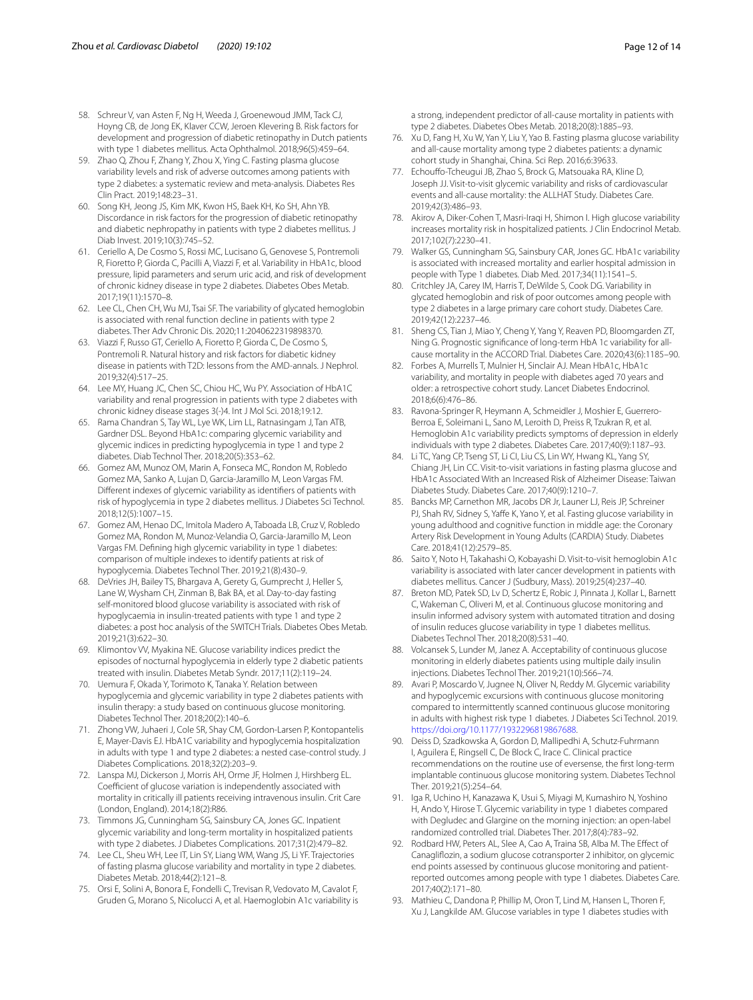- <span id="page-11-7"></span>58. Schreur V, van Asten F, Ng H, Weeda J, Groenewoud JMM, Tack CJ, Hoyng CB, de Jong EK, Klaver CCW, Jeroen Klevering B. Risk factors for development and progression of diabetic retinopathy in Dutch patients with type 1 diabetes mellitus. Acta Ophthalmol. 2018;96(5):459–64.
- <span id="page-11-23"></span>59. Zhao Q, Zhou F, Zhang Y, Zhou X, Ying C. Fasting plasma glucose variability levels and risk of adverse outcomes among patients with type 2 diabetes: a systematic review and meta-analysis. Diabetes Res Clin Pract. 2019;148:23–31.
- <span id="page-11-8"></span>60. Song KH, Jeong JS, Kim MK, Kwon HS, Baek KH, Ko SH, Ahn YB. Discordance in risk factors for the progression of diabetic retinopathy and diabetic nephropathy in patients with type 2 diabetes mellitus. J Diab Invest. 2019;10(3):745–52.
- <span id="page-11-9"></span>61. Ceriello A, De Cosmo S, Rossi MC, Lucisano G, Genovese S, Pontremoli R, Fioretto P, Giorda C, Pacilli A, Viazzi F, et al. Variability in HbA1c, blood pressure, lipid parameters and serum uric acid, and risk of development of chronic kidney disease in type 2 diabetes. Diabetes Obes Metab. 2017;19(11):1570–8.
- <span id="page-11-10"></span>62. Lee CL, Chen CH, Wu MJ, Tsai SF. The variability of glycated hemoglobin is associated with renal function decline in patients with type 2 diabetes. Ther Adv Chronic Dis. 2020;11:2040622319898370.
- <span id="page-11-24"></span>63. Viazzi F, Russo GT, Ceriello A, Fioretto P, Giorda C, De Cosmo S, Pontremoli R. Natural history and risk factors for diabetic kidney disease in patients with T2D: lessons from the AMD-annals. J Nephrol. 2019;32(4):517–25.
- <span id="page-11-11"></span>64. Lee MY, Huang JC, Chen SC, Chiou HC, Wu PY. Association of HbA1C variability and renal progression in patients with type 2 diabetes with chronic kidney disease stages 3(-)4. Int J Mol Sci. 2018;19:12.
- <span id="page-11-25"></span>65. Rama Chandran S, Tay WL, Lye WK, Lim LL, Ratnasingam J, Tan ATB, Gardner DSL. Beyond HbA1c: comparing glycemic variability and glycemic indices in predicting hypoglycemia in type 1 and type 2 diabetes. Diab Technol Ther. 2018;20(5):353–62.
- <span id="page-11-0"></span>66. Gomez AM, Munoz OM, Marin A, Fonseca MC, Rondon M, Robledo Gomez MA, Sanko A, Lujan D, Garcia-Jaramillo M, Leon Vargas FM. Diferent indexes of glycemic variability as identifers of patients with risk of hypoglycemia in type 2 diabetes mellitus. J Diabetes Sci Technol. 2018;12(5):1007–15.
- <span id="page-11-1"></span>67. Gomez AM, Henao DC, Imitola Madero A, Taboada LB, Cruz V, Robledo Gomez MA, Rondon M, Munoz-Velandia O, Garcia-Jaramillo M, Leon Vargas FM. Defning high glycemic variability in type 1 diabetes: comparison of multiple indexes to identify patients at risk of hypoglycemia. Diabetes Technol Ther. 2019;21(8):430–9.
- <span id="page-11-2"></span>68. DeVries JH, Bailey TS, Bhargava A, Gerety G, Gumprecht J, Heller S, Lane W, Wysham CH, Zinman B, Bak BA, et al. Day-to-day fasting self-monitored blood glucose variability is associated with risk of hypoglycaemia in insulin-treated patients with type 1 and type 2 diabetes: a post hoc analysis of the SWITCH Trials. Diabetes Obes Metab. 2019;21(3):622–30.
- <span id="page-11-3"></span>69. Klimontov VV, Myakina NE. Glucose variability indices predict the episodes of nocturnal hypoglycemia in elderly type 2 diabetic patients treated with insulin. Diabetes Metab Syndr. 2017;11(2):119–24.
- <span id="page-11-4"></span>70. Uemura F, Okada Y, Torimoto K, Tanaka Y. Relation between hypoglycemia and glycemic variability in type 2 diabetes patients with insulin therapy: a study based on continuous glucose monitoring. Diabetes Technol Ther. 2018;20(2):140–6.
- <span id="page-11-26"></span>71. Zhong VW, Juhaeri J, Cole SR, Shay CM, Gordon-Larsen P, Kontopantelis E, Mayer-Davis EJ. HbA1C variability and hypoglycemia hospitalization in adults with type 1 and type 2 diabetes: a nested case-control study. J Diabetes Complications. 2018;32(2):203–9.
- <span id="page-11-5"></span>72. Lanspa MJ, Dickerson J, Morris AH, Orme JF, Holmen J, Hirshberg EL. Coefficient of glucose variation is independently associated with mortality in critically ill patients receiving intravenous insulin. Crit Care (London, England). 2014;18(2):R86.
- <span id="page-11-6"></span>73. Timmons JG, Cunningham SG, Sainsbury CA, Jones GC. Inpatient glycemic variability and long-term mortality in hospitalized patients with type 2 diabetes. J Diabetes Complications. 2017;31(2):479–82.
- <span id="page-11-12"></span>74. Lee CL, Sheu WH, Lee IT, Lin SY, Liang WM, Wang JS, Li YF. Trajectories of fasting plasma glucose variability and mortality in type 2 diabetes. Diabetes Metab. 2018;44(2):121–8.
- <span id="page-11-13"></span>75. Orsi E, Solini A, Bonora E, Fondelli C, Trevisan R, Vedovato M, Cavalot F, Gruden G, Morano S, Nicolucci A, et al. Haemoglobin A1c variability is

a strong, independent predictor of all-cause mortality in patients with type 2 diabetes. Diabetes Obes Metab. 2018;20(8):1885–93.

- <span id="page-11-14"></span>76. Xu D, Fang H, Xu W, Yan Y, Liu Y, Yao B. Fasting plasma glucose variability and all-cause mortality among type 2 diabetes patients: a dynamic cohort study in Shanghai, China. Sci Rep. 2016;6:39633.
- <span id="page-11-15"></span>77. Echoufo-Tcheugui JB, Zhao S, Brock G, Matsouaka RA, Kline D, Joseph JJ. Visit-to-visit glycemic variability and risks of cardiovascular events and all-cause mortality: the ALLHAT Study. Diabetes Care. 2019;42(3):486–93.
- <span id="page-11-16"></span>78. Akirov A, Diker-Cohen T, Masri-Iraqi H, Shimon I. High glucose variability increases mortality risk in hospitalized patients. J Clin Endocrinol Metab. 2017;102(7):2230–41.
- <span id="page-11-17"></span>79. Walker GS, Cunningham SG, Sainsbury CAR, Jones GC. HbA1c variability is associated with increased mortality and earlier hospital admission in people with Type 1 diabetes. Diab Med. 2017;34(11):1541–5.
- <span id="page-11-18"></span>80. Critchley JA, Carey IM, Harris T, DeWilde S, Cook DG. Variability in glycated hemoglobin and risk of poor outcomes among people with type 2 diabetes in a large primary care cohort study. Diabetes Care. 2019;42(12):2237–46.
- <span id="page-11-19"></span>81. Sheng CS, Tian J, Miao Y, Cheng Y, Yang Y, Reaven PD, Bloomgarden ZT, Ning G. Prognostic signifcance of long-term HbA 1c variability for allcause mortality in the ACCORD Trial. Diabetes Care. 2020;43(6):1185–90.
- <span id="page-11-27"></span>82. Forbes A, Murrells T, Mulnier H, Sinclair AJ. Mean HbA1c, HbA1c variability, and mortality in people with diabetes aged 70 years and older: a retrospective cohort study. Lancet Diabetes Endocrinol. 2018;6(6):476–86.
- <span id="page-11-20"></span>83. Ravona-Springer R, Heymann A, Schmeidler J, Moshier E, Guerrero-Berroa E, Soleimani L, Sano M, Leroith D, Preiss R, Tzukran R, et al. Hemoglobin A1c variability predicts symptoms of depression in elderly individuals with type 2 diabetes. Diabetes Care. 2017;40(9):1187–93.
- <span id="page-11-21"></span>84. Li TC, Yang CP, Tseng ST, Li CI, Liu CS, Lin WY, Hwang KL, Yang SY, Chiang JH, Lin CC. Visit-to-visit variations in fasting plasma glucose and HbA1c Associated With an Increased Risk of Alzheimer Disease: Taiwan Diabetes Study. Diabetes Care. 2017;40(9):1210–7.
- 85. Bancks MP, Carnethon MR, Jacobs DR Jr, Launer LJ, Reis JP, Schreiner PJ, Shah RV, Sidney S, Yaffe K, Yano Y, et al. Fasting glucose variability in young adulthood and cognitive function in middle age: the Coronary Artery Risk Development in Young Adults (CARDIA) Study. Diabetes Care. 2018;41(12):2579–85.
- <span id="page-11-22"></span>86. Saito Y, Noto H, Takahashi O, Kobayashi D. Visit-to-visit hemoglobin A1c variability is associated with later cancer development in patients with diabetes mellitus. Cancer J (Sudbury, Mass). 2019;25(4):237–40.
- <span id="page-11-28"></span>87. Breton MD, Patek SD, Lv D, Schertz E, Robic J, Pinnata J, Kollar L, Barnett C, Wakeman C, Oliveri M, et al. Continuous glucose monitoring and insulin informed advisory system with automated titration and dosing of insulin reduces glucose variability in type 1 diabetes mellitus. Diabetes Technol Ther. 2018;20(8):531–40.
- Volcansek S, Lunder M, Janez A. Acceptability of continuous glucose monitoring in elderly diabetes patients using multiple daily insulin injections. Diabetes Technol Ther. 2019;21(10):566–74.
- <span id="page-11-32"></span>89. Avari P, Moscardo V, Jugnee N, Oliver N, Reddy M. Glycemic variability and hypoglycemic excursions with continuous glucose monitoring compared to intermittently scanned continuous glucose monitoring in adults with highest risk type 1 diabetes. J Diabetes Sci Technol. 2019. [https://doi.org/10.1177/1932296819867688.](https://doi.org/10.1177/1932296819867688)
- <span id="page-11-29"></span>90. Deiss D, Szadkowska A, Gordon D, Mallipedhi A, Schutz-Fuhrmann I, Aguilera E, Ringsell C, De Block C, Irace C. Clinical practice recommendations on the routine use of eversense, the frst long-term implantable continuous glucose monitoring system. Diabetes Technol Ther. 2019;21(5):254–64.
- <span id="page-11-30"></span>91. Iga R, Uchino H, Kanazawa K, Usui S, Miyagi M, Kumashiro N, Yoshino H, Ando Y, Hirose T. Glycemic variability in type 1 diabetes compared with Degludec and Glargine on the morning injection: an open-label randomized controlled trial. Diabetes Ther. 2017;8(4):783–92.
- <span id="page-11-31"></span>92. Rodbard HW, Peters AL, Slee A, Cao A, Traina SB, Alba M. The Efect of Canaglifozin, a sodium glucose cotransporter 2 inhibitor, on glycemic end points assessed by continuous glucose monitoring and patientreported outcomes among people with type 1 diabetes. Diabetes Care. 2017;40(2):171–80.
- <span id="page-11-33"></span>Mathieu C, Dandona P, Phillip M, Oron T, Lind M, Hansen L, Thoren F, Xu J, Langkilde AM. Glucose variables in type 1 diabetes studies with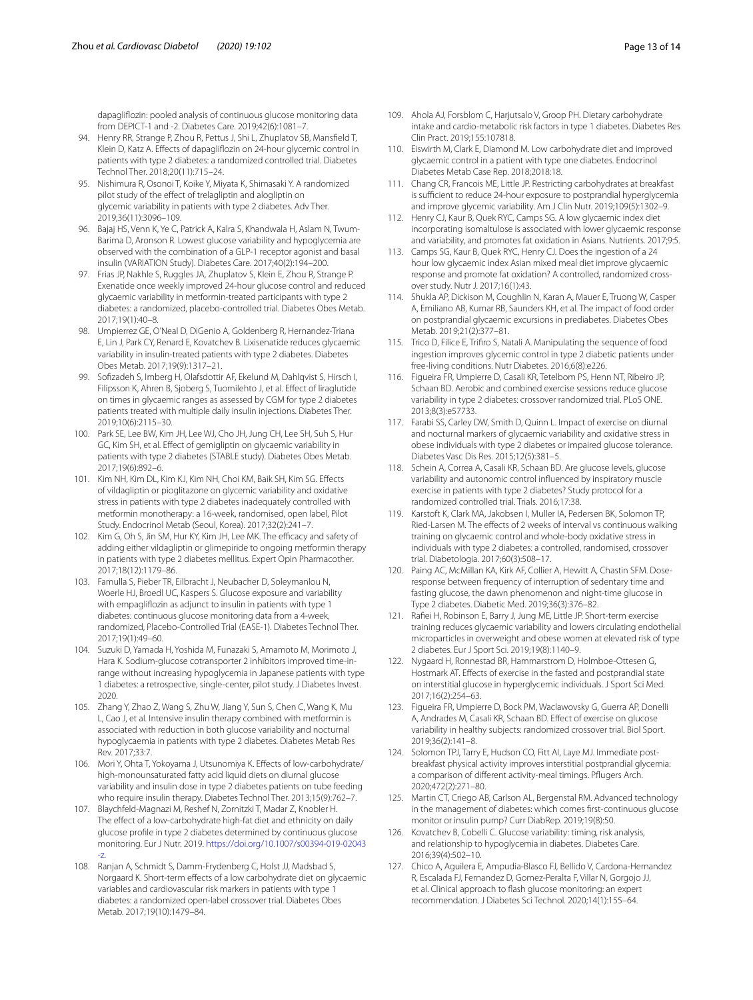dapaglifozin: pooled analysis of continuous glucose monitoring data from DEPICT-1 and -2. Diabetes Care. 2019;42(6):1081–7.

- <span id="page-12-0"></span>94. Henry RR, Strange P, Zhou R, Pettus J, Shi L, Zhuplatov SB, Mansfeld T, Klein D, Katz A. Efects of dapaglifozin on 24-hour glycemic control in patients with type 2 diabetes: a randomized controlled trial. Diabetes Technol Ther. 2018;20(11):715–24.
- <span id="page-12-1"></span>95. Nishimura R, Osonoi T, Koike Y, Miyata K, Shimasaki Y. A randomized pilot study of the efect of trelagliptin and alogliptin on glycemic variability in patients with type 2 diabetes. Adv Ther. 2019;36(11):3096–109.
- <span id="page-12-6"></span>96. Bajaj HS, Venn K, Ye C, Patrick A, Kalra S, Khandwala H, Aslam N, Twum-Barima D, Aronson R. Lowest glucose variability and hypoglycemia are observed with the combination of a GLP-1 receptor agonist and basal insulin (VARIATION Study). Diabetes Care. 2017;40(2):194–200.
- <span id="page-12-7"></span>97. Frias JP, Nakhle S, Ruggles JA, Zhuplatov S, Klein E, Zhou R, Strange P. Exenatide once weekly improved 24-hour glucose control and reduced glycaemic variability in metformin-treated participants with type 2 diabetes: a randomized, placebo-controlled trial. Diabetes Obes Metab. 2017;19(1):40–8.
- <span id="page-12-8"></span>98. Umpierrez GE, O'Neal D, DiGenio A, Goldenberg R, Hernandez-Triana E, Lin J, Park CY, Renard E, Kovatchev B. Lixisenatide reduces glycaemic variability in insulin-treated patients with type 2 diabetes. Diabetes Obes Metab. 2017;19(9):1317–21.
- <span id="page-12-9"></span>99. Sofzadeh S, Imberg H, Olafsdottir AF, Ekelund M, Dahlqvist S, Hirsch I, Filipsson K, Ahren B, Sjoberg S, Tuomilehto J, et al. Efect of liraglutide on times in glycaemic ranges as assessed by CGM for type 2 diabetes patients treated with multiple daily insulin injections. Diabetes Ther. 2019;10(6):2115–30.
- <span id="page-12-10"></span>100. Park SE, Lee BW, Kim JH, Lee WJ, Cho JH, Jung CH, Lee SH, Suh S, Hur GC, Kim SH, et al. Efect of gemigliptin on glycaemic variability in patients with type 2 diabetes (STABLE study). Diabetes Obes Metab. 2017;19(6):892–6.
- <span id="page-12-11"></span>101. Kim NH, Kim DL, Kim KJ, Kim NH, Choi KM, Baik SH, Kim SG. Efects of vildagliptin or pioglitazone on glycemic variability and oxidative stress in patients with type 2 diabetes inadequately controlled with metformin monotherapy: a 16-week, randomised, open label, Pilot Study. Endocrinol Metab (Seoul, Korea). 2017;32(2):241–7.
- <span id="page-12-12"></span>102. Kim G, Oh S, Jin SM, Hur KY, Kim JH, Lee MK. The efficacy and safety of adding either vildagliptin or glimepiride to ongoing metformin therapy in patients with type 2 diabetes mellitus. Expert Opin Pharmacother. 2017;18(12):1179–86.
- <span id="page-12-2"></span>103. Famulla S, Pieber TR, Eilbracht J, Neubacher D, Soleymanlou N, Woerle HJ, Broedl UC, Kaspers S. Glucose exposure and variability with empaglifozin as adjunct to insulin in patients with type 1 diabetes: continuous glucose monitoring data from a 4-week, randomized, Placebo-Controlled Trial (EASE-1). Diabetes Technol Ther. 2017;19(1):49–60.
- <span id="page-12-3"></span>104. Suzuki D, Yamada H, Yoshida M, Funazaki S, Amamoto M, Morimoto J, Hara K. Sodium-glucose cotransporter 2 inhibitors improved time-inrange without increasing hypoglycemia in Japanese patients with type 1 diabetes: a retrospective, single-center, pilot study. J Diabetes Invest. 2020.
- <span id="page-12-13"></span>105. Zhang Y, Zhao Z, Wang S, Zhu W, Jiang Y, Sun S, Chen C, Wang K, Mu L, Cao J, et al. Intensive insulin therapy combined with metformin is associated with reduction in both glucose variability and nocturnal hypoglycaemia in patients with type 2 diabetes. Diabetes Metab Res Rev. 2017;33:7.
- <span id="page-12-14"></span>106. Mori Y, Ohta T, Yokoyama J, Utsunomiya K. Efects of low-carbohydrate/ high-monounsaturated fatty acid liquid diets on diurnal glucose variability and insulin dose in type 2 diabetes patients on tube feeding who require insulin therapy. Diabetes Technol Ther. 2013;15(9):762–7.
- <span id="page-12-15"></span>107. Blaychfeld-Magnazi M, Reshef N, Zornitzki T, Madar Z, Knobler H. The effect of a low-carbohydrate high-fat diet and ethnicity on daily glucose profle in type 2 diabetes determined by continuous glucose monitoring. Eur J Nutr. 2019. [https://doi.org/10.1007/s00394-019-02043](https://doi.org/10.1007/s00394-019-02043-z) [-z](https://doi.org/10.1007/s00394-019-02043-z).
- <span id="page-12-4"></span>108. Ranjan A, Schmidt S, Damm-Frydenberg C, Holst JJ, Madsbad S, Norgaard K. Short-term efects of a low carbohydrate diet on glycaemic variables and cardiovascular risk markers in patients with type 1 diabetes: a randomized open-label crossover trial. Diabetes Obes Metab. 2017;19(10):1479–84.
- 109. Ahola AJ, Forsblom C, Harjutsalo V, Groop PH. Dietary carbohydrate intake and cardio-metabolic risk factors in type 1 diabetes. Diabetes Res Clin Pract. 2019;155:107818.
- <span id="page-12-5"></span>110. Eiswirth M, Clark E, Diamond M. Low carbohydrate diet and improved glycaemic control in a patient with type one diabetes. Endocrinol Diabetes Metab Case Rep. 2018;2018:18.
- <span id="page-12-16"></span>111. Chang CR, Francois ME, Little JP. Restricting carbohydrates at breakfast is sufficient to reduce 24-hour exposure to postprandial hyperglycemia and improve glycemic variability. Am J Clin Nutr. 2019;109(5):1302–9.
- <span id="page-12-23"></span>112. Henry CJ, Kaur B, Quek RYC, Camps SG. A low glycaemic index diet incorporating isomaltulose is associated with lower glycaemic response and variability, and promotes fat oxidation in Asians. Nutrients. 2017;9:5.
- <span id="page-12-24"></span>113. Camps SG, Kaur B, Quek RYC, Henry CJ. Does the ingestion of a 24 hour low glycaemic index Asian mixed meal diet improve glycaemic response and promote fat oxidation? A controlled, randomized crossover study. Nutr J. 2017;16(1):43.
- <span id="page-12-25"></span>114. Shukla AP, Dickison M, Coughlin N, Karan A, Mauer E, Truong W, Casper A, Emiliano AB, Kumar RB, Saunders KH, et al. The impact of food order on postprandial glycaemic excursions in prediabetes. Diabetes Obes Metab. 2019;21(2):377–81.
- <span id="page-12-17"></span>115. Trico D, Filice E, Trifro S, Natali A. Manipulating the sequence of food ingestion improves glycemic control in type 2 diabetic patients under free-living conditions. Nutr Diabetes. 2016;6(8):e226.
- <span id="page-12-18"></span>116. Figueira FR, Umpierre D, Casali KR, Tetelbom PS, Henn NT, Ribeiro JP, Schaan BD. Aerobic and combined exercise sessions reduce glucose variability in type 2 diabetes: crossover randomized trial. PLoS ONE. 2013;8(3):e57733.
- <span id="page-12-29"></span>117. Farabi SS, Carley DW, Smith D, Quinn L. Impact of exercise on diurnal and nocturnal markers of glycaemic variability and oxidative stress in obese individuals with type 2 diabetes or impaired glucose tolerance. Diabetes Vasc Dis Res. 2015;12(5):381–5.
- <span id="page-12-19"></span>118. Schein A, Correa A, Casali KR, Schaan BD. Are glucose levels, glucose variability and autonomic control infuenced by inspiratory muscle exercise in patients with type 2 diabetes? Study protocol for a randomized controlled trial. Trials. 2016;17:38.
- <span id="page-12-20"></span>119. Karstoft K, Clark MA, Jakobsen I, Muller IA, Pedersen BK, Solomon TP, Ried-Larsen M. The effects of 2 weeks of interval vs continuous walking training on glycaemic control and whole-body oxidative stress in individuals with type 2 diabetes: a controlled, randomised, crossover trial. Diabetologia. 2017;60(3):508–17.
- <span id="page-12-22"></span>120. Paing AC, McMillan KA, Kirk AF, Collier A, Hewitt A, Chastin SFM. Doseresponse between frequency of interruption of sedentary time and fasting glucose, the dawn phenomenon and night-time glucose in Type 2 diabetes. Diabetic Med. 2019;36(3):376–82.
- <span id="page-12-21"></span>121. Rafei H, Robinson E, Barry J, Jung ME, Little JP. Short-term exercise training reduces glycaemic variability and lowers circulating endothelial microparticles in overweight and obese women at elevated risk of type 2 diabetes. Eur J Sport Sci. 2019;19(8):1140–9.
- <span id="page-12-26"></span>122. Nygaard H, Ronnestad BR, Hammarstrom D, Holmboe-Ottesen G, Hostmark AT. Efects of exercise in the fasted and postprandial state on interstitial glucose in hyperglycemic individuals. J Sport Sci Med. 2017;16(2):254–63.
- <span id="page-12-27"></span>123. Figueira FR, Umpierre D, Bock PM, Waclawovsky G, Guerra AP, Donelli A, Andrades M, Casali KR, Schaan BD. Efect of exercise on glucose variability in healthy subjects: randomized crossover trial. Biol Sport. 2019;36(2):141–8.
- <span id="page-12-28"></span>124. Solomon TPJ, Tarry E, Hudson CO, Fitt AI, Laye MJ. Immediate postbreakfast physical activity improves interstitial postprandial glycemia: a comparison of diferent activity-meal timings. Pfugers Arch. 2020;472(2):271–80.
- <span id="page-12-30"></span>125. Martin CT, Criego AB, Carlson AL, Bergenstal RM. Advanced technology in the management of diabetes: which comes frst-continuous glucose monitor or insulin pump? Curr DiabRep. 2019;19(8):50.
- <span id="page-12-31"></span>126. Kovatchev B, Cobelli C. Glucose variability: timing, risk analysis, and relationship to hypoglycemia in diabetes. Diabetes Care. 2016;39(4):502–10.
- <span id="page-12-32"></span>127. Chico A, Aguilera E, Ampudia-Blasco FJ, Bellido V, Cardona-Hernandez R, Escalada FJ, Fernandez D, Gomez-Peralta F, Villar N, Gorgojo JJ, et al. Clinical approach to fash glucose monitoring: an expert recommendation. J Diabetes Sci Technol. 2020;14(1):155–64.